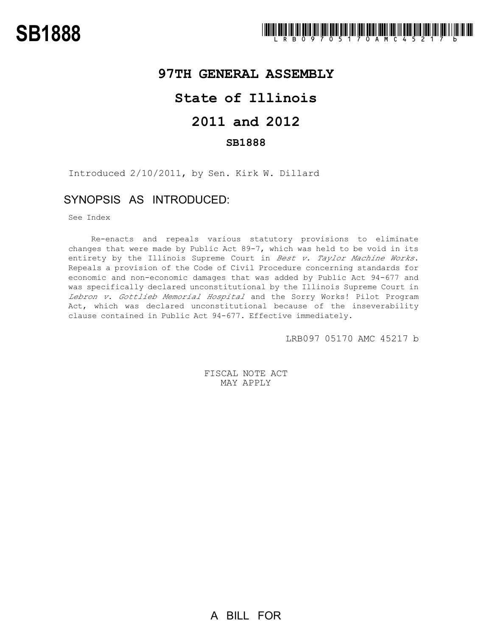## **97TH GENERAL ASSEMBLY**

## **State of Illinois**

# **2011 and 2012**

#### **SB1888**

Introduced 2/10/2011, by Sen. Kirk W. Dillard

## SYNOPSIS AS INTRODUCED:

See Index

Re-enacts and repeals various statutory provisions to eliminate changes that were made by Public Act 89-7, which was held to be void in its entirety by the Illinois Supreme Court in Best v. Taylor Machine Works. Repeals a provision of the Code of Civil Procedure concerning standards for economic and non-economic damages that was added by Public Act 94-677 and was specifically declared unconstitutional by the Illinois Supreme Court in Lebron v. Gottlieb Memorial Hospital and the Sorry Works! Pilot Program Act, which was declared unconstitutional because of the inseverability clause contained in Public Act 94-677. Effective immediately.

LRB097 05170 AMC 45217 b

FISCAL NOTE ACT MAY APPLY

A BILL FOR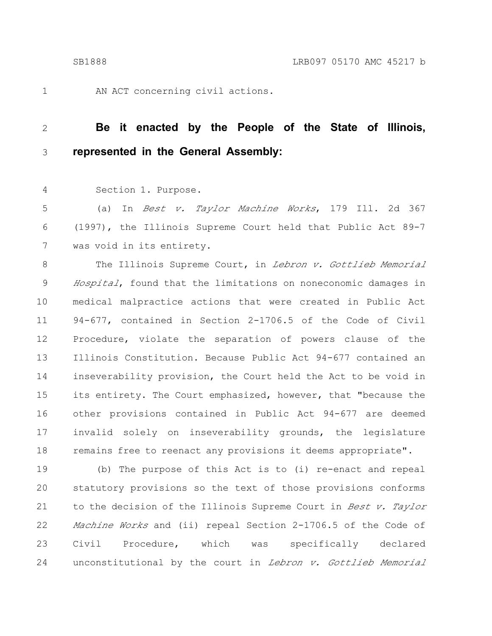1

AN ACT concerning civil actions.

#### **Be it enacted by the People of the State of Illinois, represented in the General Assembly:** 2 3

Section 1. Purpose. 4

(a) In Best v. Taylor Machine Works, 179 Ill. 2d 367 (1997), the Illinois Supreme Court held that Public Act 89-7 was void in its entirety. 5 6 7

The Illinois Supreme Court, in Lebron v. Gottlieb Memorial Hospital, found that the limitations on noneconomic damages in medical malpractice actions that were created in Public Act 94-677, contained in Section 2-1706.5 of the Code of Civil Procedure, violate the separation of powers clause of the Illinois Constitution. Because Public Act 94-677 contained an inseverability provision, the Court held the Act to be void in its entirety. The Court emphasized, however, that "because the other provisions contained in Public Act 94-677 are deemed invalid solely on inseverability grounds, the legislature remains free to reenact any provisions it deems appropriate". 8 9 10 11 12 13 14 15 16 17 18

(b) The purpose of this Act is to (i) re-enact and repeal statutory provisions so the text of those provisions conforms to the decision of the Illinois Supreme Court in Best v. Taylor Machine Works and (ii) repeal Section 2-1706.5 of the Code of Civil Procedure, which was specifically declared unconstitutional by the court in Lebron v. Gottlieb Memorial 19 20 21 22 23 24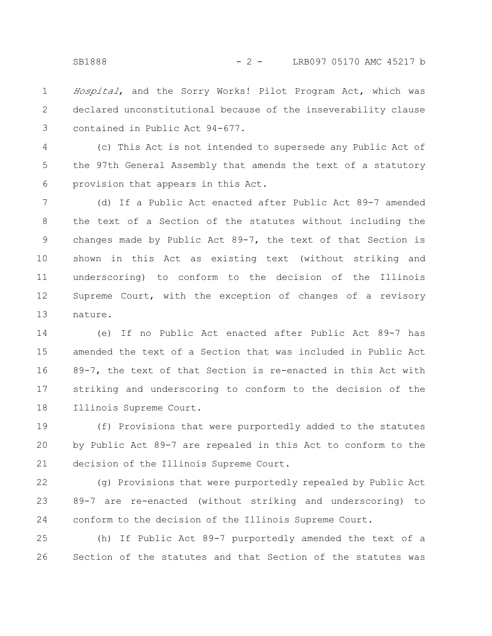Hospital, and the Sorry Works! Pilot Program Act, which was declared unconstitutional because of the inseverability clause contained in Public Act 94-677. 1 2 3

(c) This Act is not intended to supersede any Public Act of the 97th General Assembly that amends the text of a statutory provision that appears in this Act. 4 5 6

(d) If a Public Act enacted after Public Act 89-7 amended the text of a Section of the statutes without including the changes made by Public Act 89-7, the text of that Section is shown in this Act as existing text (without striking and underscoring) to conform to the decision of the Illinois Supreme Court, with the exception of changes of a revisory nature. 7 8 9 10 11 12 13

(e) If no Public Act enacted after Public Act 89-7 has amended the text of a Section that was included in Public Act 89-7, the text of that Section is re-enacted in this Act with striking and underscoring to conform to the decision of the Illinois Supreme Court. 14 15 16 17 18

(f) Provisions that were purportedly added to the statutes by Public Act 89-7 are repealed in this Act to conform to the decision of the Illinois Supreme Court. 19 20 21

(g) Provisions that were purportedly repealed by Public Act 89-7 are re-enacted (without striking and underscoring) to conform to the decision of the Illinois Supreme Court. 22 23 24

(h) If Public Act 89-7 purportedly amended the text of a Section of the statutes and that Section of the statutes was 25 26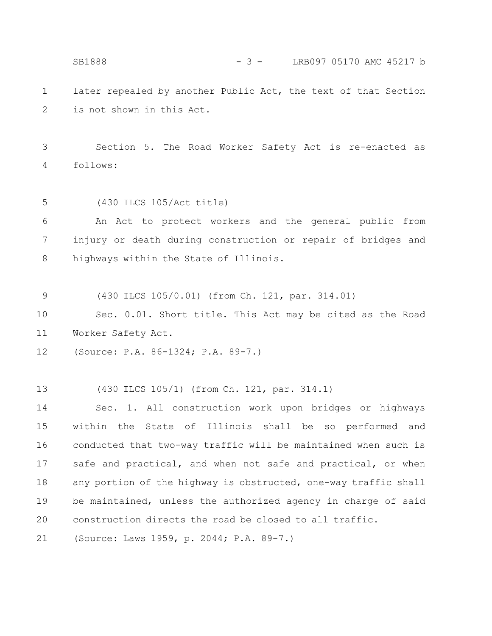later repealed by another Public Act, the text of that Section is not shown in this Act. Section 5. The Road Worker Safety Act is re-enacted as follows: (430 ILCS 105/Act title) An Act to protect workers and the general public from injury or death during construction or repair of bridges and highways within the State of Illinois. (430 ILCS 105/0.01) (from Ch. 121, par. 314.01) Sec. 0.01. Short title. This Act may be cited as the Road Worker Safety Act. (Source: P.A. 86-1324; P.A. 89-7.) (430 ILCS 105/1) (from Ch. 121, par. 314.1) Sec. 1. All construction work upon bridges or highways within the State of Illinois shall be so performed and 1 2 3 4 5 6 7 8 9 10 11 12 13 14 15 SB1888 - 3 - LRB097 05170 AMC 45217 b

conducted that two-way traffic will be maintained when such is safe and practical, and when not safe and practical, or when any portion of the highway is obstructed, one-way traffic shall be maintained, unless the authorized agency in charge of said construction directs the road be closed to all traffic. 16 17 18 19 20

(Source: Laws 1959, p. 2044; P.A. 89-7.) 21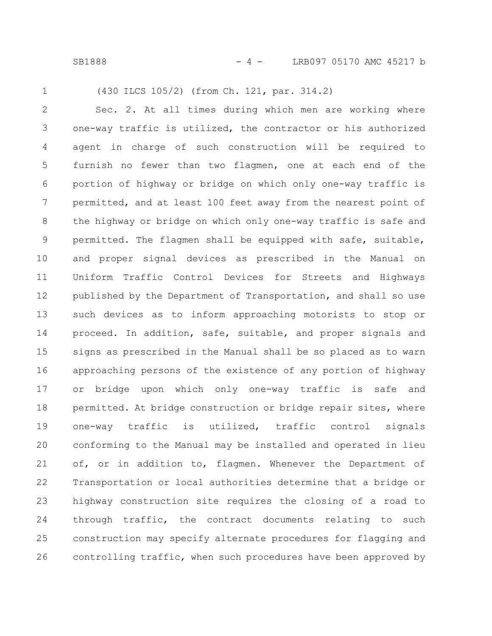SB1888 - 4 - LRB097 05170 AMC 45217 b

1

(430 ILCS 105/2) (from Ch. 121, par. 314.2)

Sec. 2. At all times during which men are working where one-way traffic is utilized, the contractor or his authorized agent in charge of such construction will be required to furnish no fewer than two flagmen, one at each end of the portion of highway or bridge on which only one-way traffic is permitted, and at least 100 feet away from the nearest point of the highway or bridge on which only one-way traffic is safe and permitted. The flagmen shall be equipped with safe, suitable, and proper signal devices as prescribed in the Manual on Uniform Traffic Control Devices for Streets and Highways published by the Department of Transportation, and shall so use such devices as to inform approaching motorists to stop or proceed. In addition, safe, suitable, and proper signals and signs as prescribed in the Manual shall be so placed as to warn approaching persons of the existence of any portion of highway or bridge upon which only one-way traffic is safe and permitted. At bridge construction or bridge repair sites, where one-way traffic is utilized, traffic control signals conforming to the Manual may be installed and operated in lieu of, or in addition to, flagmen. Whenever the Department of Transportation or local authorities determine that a bridge or highway construction site requires the closing of a road to through traffic, the contract documents relating to such construction may specify alternate procedures for flagging and controlling traffic, when such procedures have been approved by 2 3 4 5 6 7 8 9 10 11 12 13 14 15 16 17 18 19 20 21 22 23 24 25 26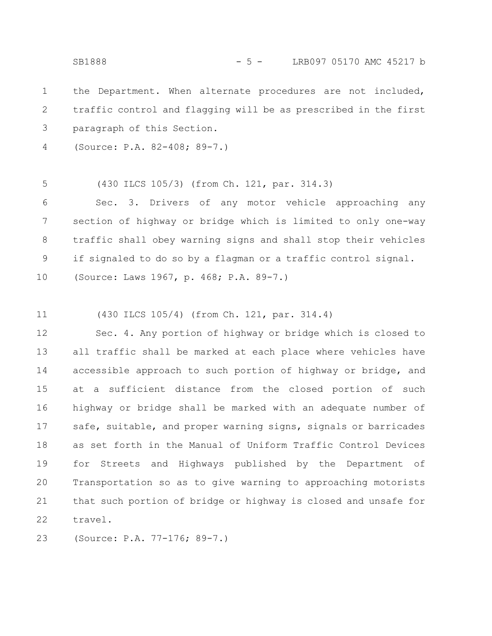SB1888 - 5 - LRB097 05170 AMC 45217 b

the Department. When alternate procedures are not included, traffic control and flagging will be as prescribed in the first paragraph of this Section. 1 2 3

(Source: P.A. 82-408; 89-7.) 4

(430 ILCS 105/3) (from Ch. 121, par. 314.3) 5

Sec. 3. Drivers of any motor vehicle approaching any section of highway or bridge which is limited to only one-way traffic shall obey warning signs and shall stop their vehicles if signaled to do so by a flagman or a traffic control signal. (Source: Laws 1967, p. 468; P.A. 89-7.) 6 7 8 9 10

(430 ILCS 105/4) (from Ch. 121, par. 314.4) 11

Sec. 4. Any portion of highway or bridge which is closed to all traffic shall be marked at each place where vehicles have accessible approach to such portion of highway or bridge, and at a sufficient distance from the closed portion of such highway or bridge shall be marked with an adequate number of safe, suitable, and proper warning signs, signals or barricades as set forth in the Manual of Uniform Traffic Control Devices for Streets and Highways published by the Department of Transportation so as to give warning to approaching motorists that such portion of bridge or highway is closed and unsafe for travel. 12 13 14 15 16 17 18 19 20 21 22

(Source: P.A. 77-176; 89-7.) 23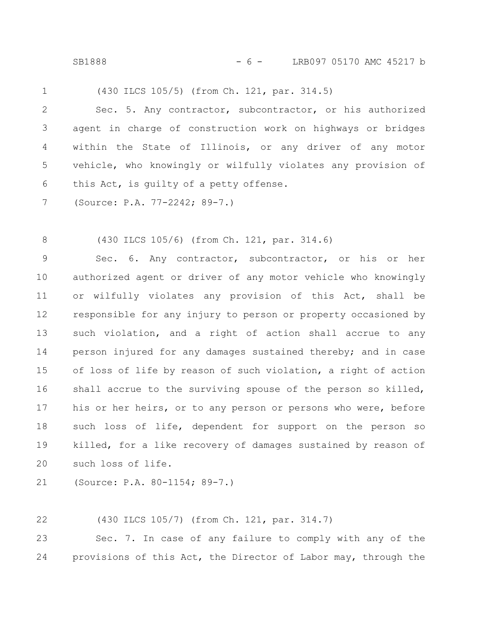SB1888 - 6 - LRB097 05170 AMC 45217 b

(430 ILCS 105/5) (from Ch. 121, par. 314.5) 1

Sec. 5. Any contractor, subcontractor, or his authorized agent in charge of construction work on highways or bridges within the State of Illinois, or any driver of any motor vehicle, who knowingly or wilfully violates any provision of this Act, is guilty of a petty offense. 2 3 4 5 6

(Source: P.A. 77-2242; 89-7.) 7

(430 ILCS 105/6) (from Ch. 121, par. 314.6) 8

Sec. 6. Any contractor, subcontractor, or his or her authorized agent or driver of any motor vehicle who knowingly or wilfully violates any provision of this Act, shall be responsible for any injury to person or property occasioned by such violation, and a right of action shall accrue to any person injured for any damages sustained thereby; and in case of loss of life by reason of such violation, a right of action shall accrue to the surviving spouse of the person so killed, his or her heirs, or to any person or persons who were, before such loss of life, dependent for support on the person so killed, for a like recovery of damages sustained by reason of such loss of life. 9 10 11 12 13 14 15 16 17 18 19 20

(Source: P.A. 80-1154; 89-7.) 21

(430 ILCS 105/7) (from Ch. 121, par. 314.7) 22

Sec. 7. In case of any failure to comply with any of the provisions of this Act, the Director of Labor may, through the 23 24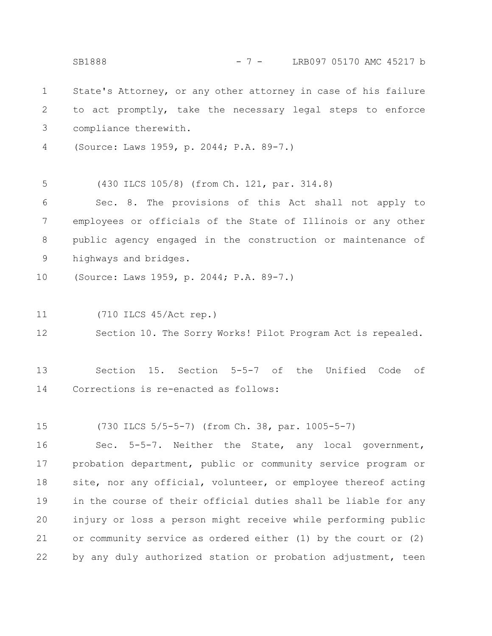State's Attorney, or any other attorney in case of his failure to act promptly, take the necessary legal steps to enforce compliance therewith. (Source: Laws 1959, p. 2044; P.A. 89-7.) (430 ILCS 105/8) (from Ch. 121, par. 314.8) Sec. 8. The provisions of this Act shall not apply to employees or officials of the State of Illinois or any other public agency engaged in the construction or maintenance of highways and bridges. (Source: Laws 1959, p. 2044; P.A. 89-7.) (710 ILCS 45/Act rep.) Section 10. The Sorry Works! Pilot Program Act is repealed. Section 15. Section 5-5-7 of the Unified Code of Corrections is re-enacted as follows: (730 ILCS 5/5-5-7) (from Ch. 38, par. 1005-5-7) Sec. 5-5-7. Neither the State, any local government, probation department, public or community service program or site, nor any official, volunteer, or employee thereof acting in the course of their official duties shall be liable for any injury or loss a person might receive while performing public or community service as ordered either (1) by the court or (2) by any duly authorized station or probation adjustment, teen 1 2 3 4 5 6 7 8 9 10 11 12 13 14 15 16 17 18 19 20 21 22 SB1888 - 7 - LRB097 05170 AMC 45217 b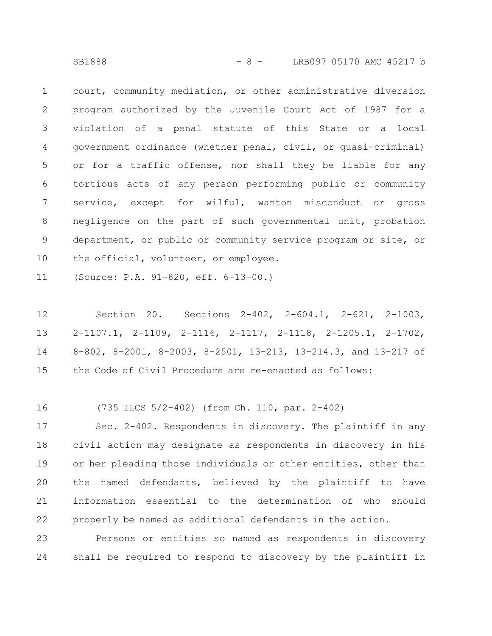court, community mediation, or other administrative diversion program authorized by the Juvenile Court Act of 1987 for a violation of a penal statute of this State or a local government ordinance (whether penal, civil, or quasi-criminal) or for a traffic offense, nor shall they be liable for any tortious acts of any person performing public or community service, except for wilful, wanton misconduct or gross negligence on the part of such governmental unit, probation department, or public or community service program or site, or the official, volunteer, or employee. 1 2 3 4 5 6 7 8 9 10

(Source: P.A. 91-820, eff. 6-13-00.) 11

Section 20. Sections 2-402, 2-604.1, 2-621, 2-1003, 2-1107.1, 2-1109, 2-1116, 2-1117, 2-1118, 2-1205.1, 2-1702, 8-802, 8-2001, 8-2003, 8-2501, 13-213, 13-214.3, and 13-217 of the Code of Civil Procedure are re-enacted as follows: 12 13 14 15

(735 ILCS 5/2-402) (from Ch. 110, par. 2-402) 16

Sec. 2-402. Respondents in discovery. The plaintiff in any civil action may designate as respondents in discovery in his or her pleading those individuals or other entities, other than the named defendants, believed by the plaintiff to have information essential to the determination of who should properly be named as additional defendants in the action. 17 18 19 20 21 22

Persons or entities so named as respondents in discovery shall be required to respond to discovery by the plaintiff in 23 24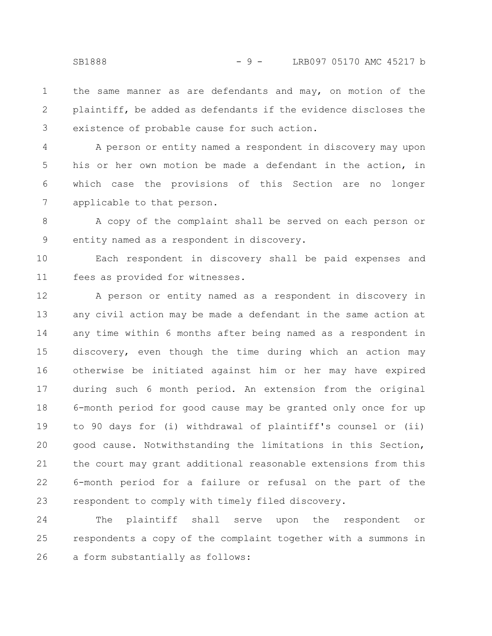the same manner as are defendants and may, on motion of the plaintiff, be added as defendants if the evidence discloses the existence of probable cause for such action. 1 2 3

A person or entity named a respondent in discovery may upon his or her own motion be made a defendant in the action, in which case the provisions of this Section are no longer applicable to that person. 4 5 6 7

A copy of the complaint shall be served on each person or entity named as a respondent in discovery. 8 9

Each respondent in discovery shall be paid expenses and fees as provided for witnesses. 10 11

A person or entity named as a respondent in discovery in any civil action may be made a defendant in the same action at any time within 6 months after being named as a respondent in discovery, even though the time during which an action may otherwise be initiated against him or her may have expired during such 6 month period. An extension from the original 6-month period for good cause may be granted only once for up to 90 days for (i) withdrawal of plaintiff's counsel or (ii) good cause. Notwithstanding the limitations in this Section, the court may grant additional reasonable extensions from this 6-month period for a failure or refusal on the part of the respondent to comply with timely filed discovery. 12 13 14 15 16 17 18 19 20 21 22 23

The plaintiff shall serve upon the respondent or respondents a copy of the complaint together with a summons in a form substantially as follows: 24 25 26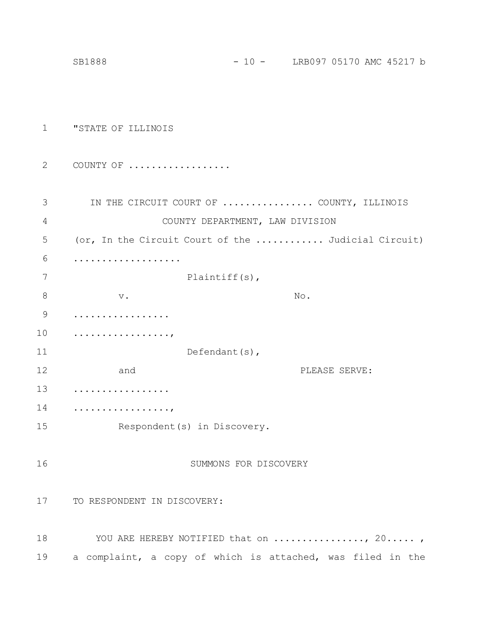|             | SB1888                                                     | $-10 -$               |     | LRB097 05170 AMC 45217 b |  |  |
|-------------|------------------------------------------------------------|-----------------------|-----|--------------------------|--|--|
|             |                                                            |                       |     |                          |  |  |
|             |                                                            |                       |     |                          |  |  |
| $\mathbf 1$ | "STATE OF ILLINOIS                                         |                       |     |                          |  |  |
|             |                                                            |                       |     |                          |  |  |
| 2           | COUNTY OF                                                  |                       |     |                          |  |  |
| 3           | IN THE CIRCUIT COURT OF  COUNTY, ILLINOIS                  |                       |     |                          |  |  |
| 4           | COUNTY DEPARTMENT, LAW DIVISION                            |                       |     |                          |  |  |
| 5           | (or, In the Circuit Court of the  Judicial Circuit)        |                       |     |                          |  |  |
| 6           | .                                                          |                       |     |                          |  |  |
| 7           |                                                            | Plaintiff $(s)$ ,     |     |                          |  |  |
| 8           | $\mathbf v$ .                                              |                       | No. |                          |  |  |
| 9           | .                                                          |                       |     |                          |  |  |
| 10          | .                                                          |                       |     |                          |  |  |
| 11          |                                                            | Defendant(s),         |     |                          |  |  |
| 12          | and                                                        |                       |     | PLEASE SERVE:            |  |  |
| 13          |                                                            |                       |     |                          |  |  |
| 14          | .                                                          |                       |     |                          |  |  |
| 15          | Respondent (s) in Discovery.                               |                       |     |                          |  |  |
| 16          |                                                            | SUMMONS FOR DISCOVERY |     |                          |  |  |
| 17          | TO RESPONDENT IN DISCOVERY:                                |                       |     |                          |  |  |
| 18          | YOU ARE HEREBY NOTIFIED that on , 20,                      |                       |     |                          |  |  |
| 19          | a complaint, a copy of which is attached, was filed in the |                       |     |                          |  |  |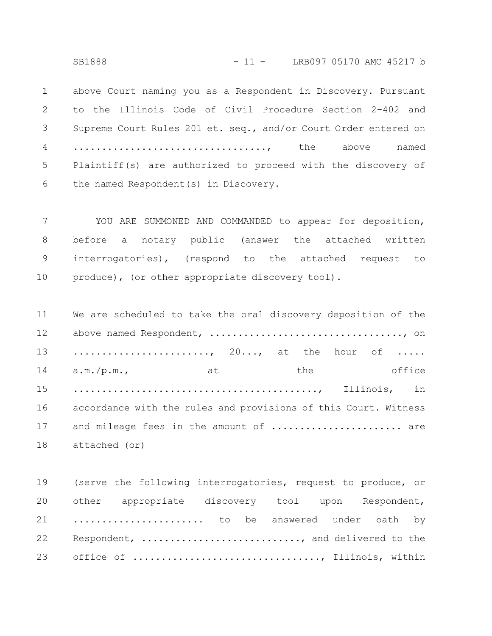SB1888 - 11 - LRB097 05170 AMC 45217 b

above Court naming you as a Respondent in Discovery. Pursuant to the Illinois Code of Civil Procedure Section 2-402 and Supreme Court Rules 201 et. seq., and/or Court Order entered on .................................., the above named Plaintiff(s) are authorized to proceed with the discovery of the named Respondent(s) in Discovery. 1 2 3 4 5 6

YOU ARE SUMMONED AND COMMANDED to appear for deposition, before a notary public (answer the attached written interrogatories), (respond to the attached request to produce), (or other appropriate discovery tool). 7 8 9 10

We are scheduled to take the oral discovery deposition of the above named Respondent, .................................., on ......................, 20..., at the hour of ..... a.m./p.m., at the office ..........................................., Illinois, in accordance with the rules and provisions of this Court. Witness and mileage fees in the amount of ....................... are attached (or) 11 12 13 14 15 16 17 18

(serve the following interrogatories, request to produce, or other appropriate discovery tool upon Respondent, ....................... to be answered under oath by Respondent, ............................, and delivered to the office of ................................., Illinois, within 19 20 21 22 23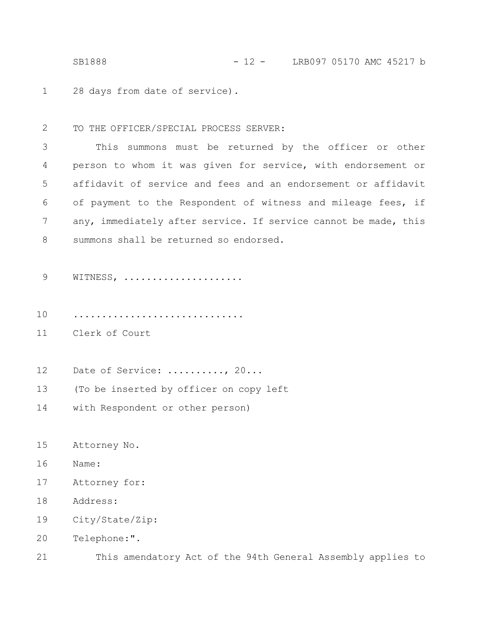28 days from date of service). 1

TO THE OFFICER/SPECIAL PROCESS SERVER: 2

This summons must be returned by the officer or other person to whom it was given for service, with endorsement or affidavit of service and fees and an endorsement or affidavit of payment to the Respondent of witness and mileage fees, if any, immediately after service. If service cannot be made, this summons shall be returned so endorsed. 3 4 5 6 7 8

- WITNESS, .................... 9
- .............................. 10
- Clerk of Court 11
- Date of Service: ........., 20... 12
- (To be inserted by officer on copy left 13
- with Respondent or other person) 14
- Attorney No. 15
- Name: 16
- Attorney for: 17
- Address: 18
- City/State/Zip: 19
- Telephone:". 20
- This amendatory Act of the 94th General Assembly applies to 21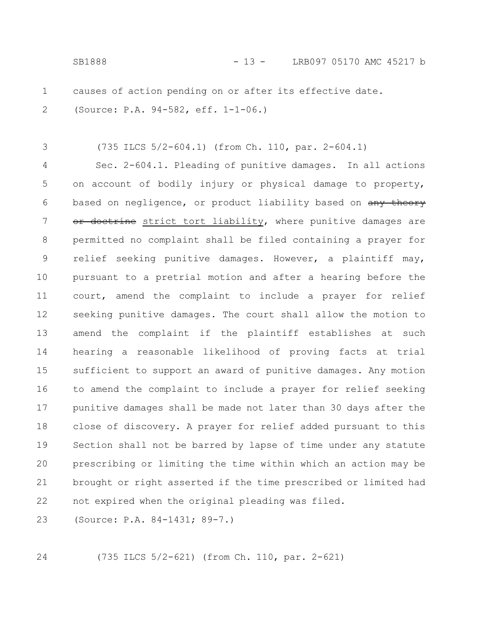(735 ILCS 5/2-604.1) (from Ch. 110, par. 2-604.1) Sec. 2-604.1. Pleading of punitive damages. In all actions on account of bodily injury or physical damage to property, based on negligence, or product liability based on any theory doctrine strict tort liability, where punitive damages are permitted no complaint shall be filed containing a prayer for relief seeking punitive damages. However, a plaintiff may, pursuant to a pretrial motion and after a hearing before the court, amend the complaint to include a prayer for relief seeking punitive damages. The court shall allow the motion to amend the complaint if the plaintiff establishes at such hearing a reasonable likelihood of proving facts at trial sufficient to support an award of punitive damages. Any motion to amend the complaint to include a prayer for relief seeking punitive damages shall be made not later than 30 days after the close of discovery. A prayer for relief added pursuant to this Section shall not be barred by lapse of time under any statute prescribing or limiting the time within which an action may be brought or right asserted if the time prescribed or limited had not expired when the original pleading was filed. (Source: P.A. 84-1431; 89-7.) 3 4 5 6 7 8 9 10 11 12 13 14 15 16 17 18 19 20 21 22 23

24

1

2

(735 ILCS 5/2-621) (from Ch. 110, par. 2-621)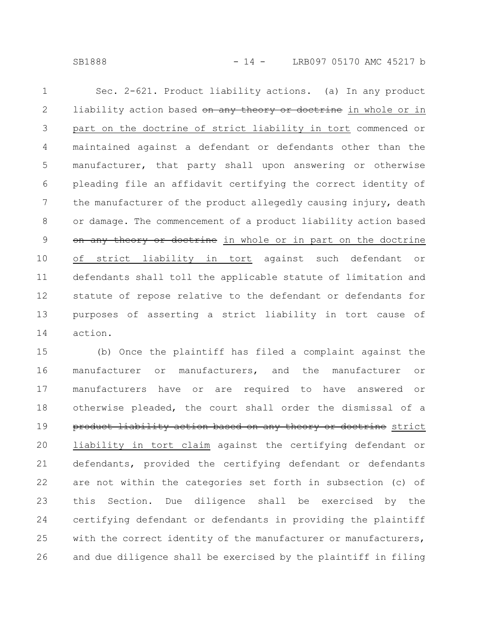SB1888 - 14 - LRB097 05170 AMC 45217 b

Sec. 2-621. Product liability actions. (a) In any product liability action based on any theory or doctrine in whole or in part on the doctrine of strict liability in tort commenced or maintained against a defendant or defendants other than the manufacturer, that party shall upon answering or otherwise pleading file an affidavit certifying the correct identity of the manufacturer of the product allegedly causing injury, death or damage. The commencement of a product liability action based on any theory or doctrine in whole or in part on the doctrine of strict liability in tort against such defendant or defendants shall toll the applicable statute of limitation and statute of repose relative to the defendant or defendants for purposes of asserting a strict liability in tort cause of action. 1 2 3 4 5 6 7 8 9 10 11 12 13 14

(b) Once the plaintiff has filed a complaint against the manufacturer or manufacturers, and the manufacturer or manufacturers have or are required to have answered or otherwise pleaded, the court shall order the dismissal of a product liability action based on any theory or doctrine strict liability in tort claim against the certifying defendant or defendants, provided the certifying defendant or defendants are not within the categories set forth in subsection (c) of this Section. Due diligence shall be exercised by the certifying defendant or defendants in providing the plaintiff with the correct identity of the manufacturer or manufacturers, and due diligence shall be exercised by the plaintiff in filing 15 16 17 18 19 20 21 22 23 24 25 26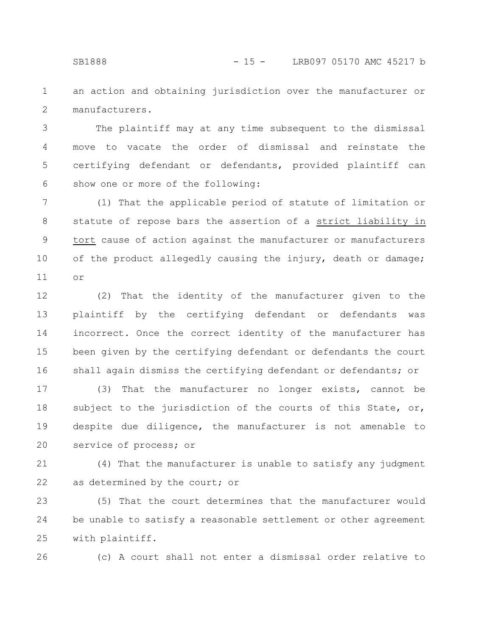an action and obtaining jurisdiction over the manufacturer or manufacturers. 1 2

The plaintiff may at any time subsequent to the dismissal move to vacate the order of dismissal and reinstate the certifying defendant or defendants, provided plaintiff can show one or more of the following: 3 4 5 6

(1) That the applicable period of statute of limitation or statute of repose bars the assertion of a strict liability in tort cause of action against the manufacturer or manufacturers of the product allegedly causing the injury, death or damage; or 7 8 9 10 11

(2) That the identity of the manufacturer given to the plaintiff by the certifying defendant or defendants was incorrect. Once the correct identity of the manufacturer has been given by the certifying defendant or defendants the court shall again dismiss the certifying defendant or defendants; or 12 13 14 15 16

(3) That the manufacturer no longer exists, cannot be subject to the jurisdiction of the courts of this State, or, despite due diligence, the manufacturer is not amenable to service of process; or 17 18 19 20

(4) That the manufacturer is unable to satisfy any judgment as determined by the court; or 21 22

(5) That the court determines that the manufacturer would be unable to satisfy a reasonable settlement or other agreement with plaintiff. 23 24 25

26

(c) A court shall not enter a dismissal order relative to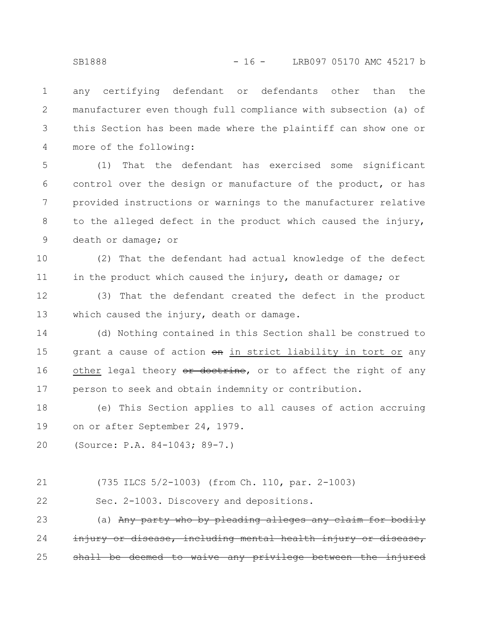any certifying defendant or defendants other than the manufacturer even though full compliance with subsection (a) of this Section has been made where the plaintiff can show one or more of the following: 1 2 3 4

(1) That the defendant has exercised some significant control over the design or manufacture of the product, or has provided instructions or warnings to the manufacturer relative to the alleged defect in the product which caused the injury, death or damage; or 5 6 7 8 9

(2) That the defendant had actual knowledge of the defect in the product which caused the injury, death or damage; or 10 11

(3) That the defendant created the defect in the product which caused the injury, death or damage. 12 13

(d) Nothing contained in this Section shall be construed to grant a cause of action on in strict liability in tort or any other legal theory or doctrine, or to affect the right of any person to seek and obtain indemnity or contribution. 14 15 16 17

(e) This Section applies to all causes of action accruing on or after September 24, 1979. 18 19

(Source: P.A. 84-1043; 89-7.) 20

(735 ILCS 5/2-1003) (from Ch. 110, par. 2-1003) 21

Sec. 2-1003. Discovery and depositions. 22

(a) Any party who by pleading alleges any claim iury or disease, including mental health injury deemed to waive any privilege 23 24 25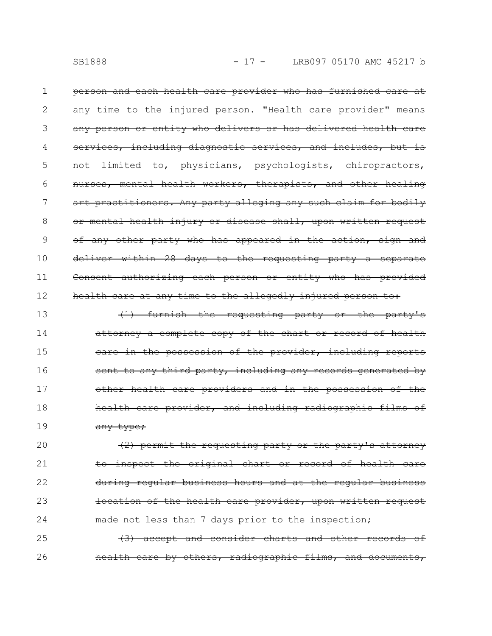person and each health care provider who has furnished care at any time to the injured person. "Health care provider" means any person or entity who delivers or has delivered health including diagnostic services, and includes, but not limited to, physicians, psychologists, chiropractors, nurses, mental health workers, therapists, and other healing art practitioners. Any party alleging any such claim for bodily or mental health injury or disease shall, upon written request of any other party who has appeared in the action, sign and deliver within 28 days to the requesting party a separate Consent authorizing each person or entity who has provided health care at any time to the allegedly injured person to: 1 2 3 4 5 6 7 8 9 10 11 12

(1) furnish the requesting party or the party's attorney a complete copy of the chart or record of health care in the possession of the provider, including reports sent to any third party, including any records generated by other health care providers and in the possession of the health care provider, and including radiographic films of any type; 13 14 15 16 17 18 19

(2) permit the requesting party or the party's attorney to inspect the original chart or record of health during regular business hours and at the regular business location of the health care provider, upon written request made not less than 7 days prior to the inspection; 20 21 22 23 24

(3) accept and consider charts and other records of health care by others, radiographic films, and documents, 25 26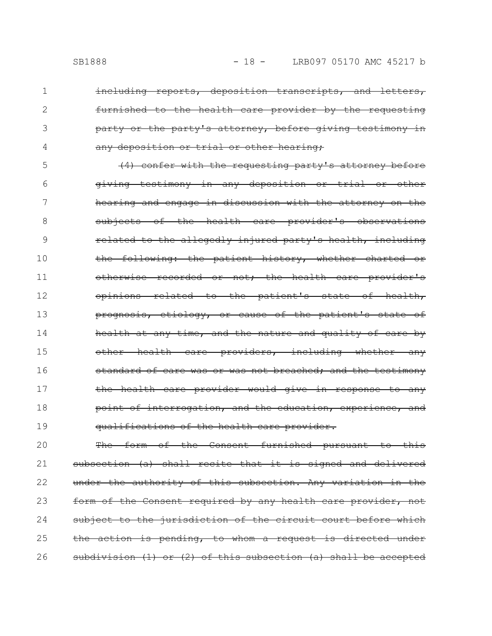1

2

3

4

including reports, deposition transcripts, and letters, furnished to the health care provider by the requesting party or the party's attorney, before giving testimony any deposition or trial or other hearing;

(4) confer with the requesting party's attorney before giving testimony in any deposition or trial or other hearing and engage in discussion with the attorney on the subjects of the health care provider's observations related to the allegedly injured party's health, including the following: the patient history, whether charted or otherwise recorded or not; the health care provider's opinions related to the patient's state of health, prognosis, etiology, or cause of the patient's state health at any time, and the nature and quality of care by other health care providers, including whether any standard of care was or was not breached; and the testimony the health care provider would give in response to any point of interrogation, and the education, experience, and qualifications of the health care provider. 5 6 7 8 9 10 11 12 13 14 15 16 17 18 19

The form of the Consent furnished pursuant to this subsection (a) shall recite that it is signed and delivered under the authority of this subsection. Any variation in the form of the Consent required by any health care provider, subject to the jurisdiction of the circuit court before which the action is pending, to whom a request is directed under subdivision (1) or (2) of this subsection (a) shall be accepted 20 21 22 23 24 25 26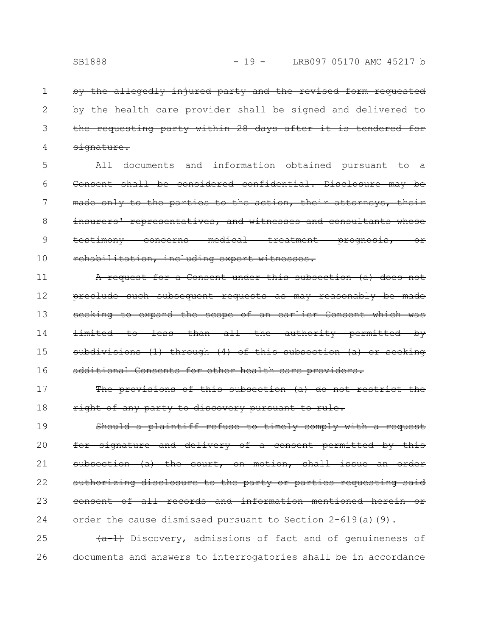by the allegedly injured party and the revised form requested by the health care provider shall be signed and delivered to the requesting party within 28 days after it is tendered signature. 1 2 3 4

All documents and information obtained pursuant to a Consent shall be considered confidential. Disclosure may be made only to the parties to the action, their attorneys, their insurers' representatives, and witnesses and consultants whose testimony concerns medical treatment prognosis, or rehabilitation, including expert witnesses. 5 6 7 8 9 10

A request for a Consent under this subsection (a) does not preclude such subsequent requests as may reasonably be made seeking to expand the scope of an earlier Consent which limited to less than all the authority permitted by subdivisions (1) through (4) of this subsection (a) or seeking additional Consents for other health care providers. 11 12 13 14 15 16

The provisions of this subsection (a) do not restrict the right of any party to discovery pursuant to rule. 17 18

Should a plaintiff refuse to timely comply with a request for signature and delivery of a consent permitted by this subsection (a) the court, on motion, shall issue an order authorizing disclosure to the party or parties requesting said consent of all records and information mentioned herein or order the cause dismissed pursuant to Section 2-619(a)(9). 19 20 21 22 23 24

 $\overline{+a-1}$  Discovery, admissions of fact and of genuineness of documents and answers to interrogatories shall be in accordance 25 26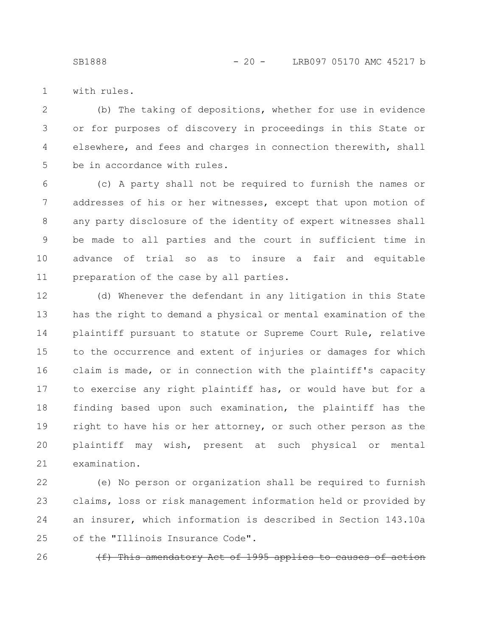SB1888 - 20 - LRB097 05170 AMC 45217 b

with rules. 1

(b) The taking of depositions, whether for use in evidence or for purposes of discovery in proceedings in this State or elsewhere, and fees and charges in connection therewith, shall be in accordance with rules. 2 3 4 5

(c) A party shall not be required to furnish the names or addresses of his or her witnesses, except that upon motion of any party disclosure of the identity of expert witnesses shall be made to all parties and the court in sufficient time in advance of trial so as to insure a fair and equitable preparation of the case by all parties. 6 7 8 9 10 11

(d) Whenever the defendant in any litigation in this State has the right to demand a physical or mental examination of the plaintiff pursuant to statute or Supreme Court Rule, relative to the occurrence and extent of injuries or damages for which claim is made, or in connection with the plaintiff's capacity to exercise any right plaintiff has, or would have but for a finding based upon such examination, the plaintiff has the right to have his or her attorney, or such other person as the plaintiff may wish, present at such physical or mental examination. 12 13 14 15 16 17 18 19 20 21

(e) No person or organization shall be required to furnish claims, loss or risk management information held or provided by an insurer, which information is described in Section 143.10a of the "Illinois Insurance Code". 22 23 24 25

26

 $(f)$  This amendatory Act of 1995 app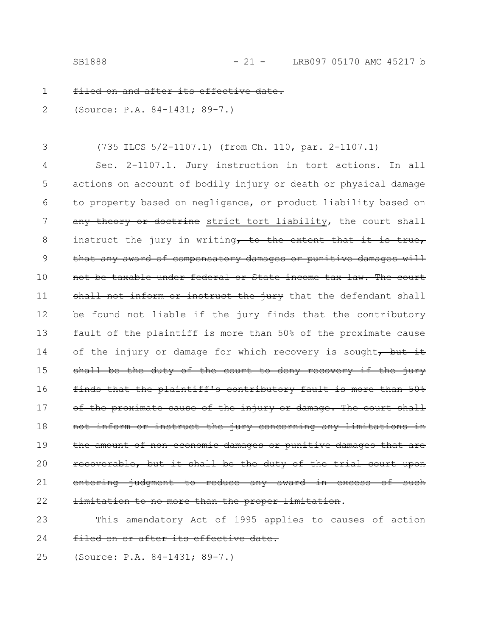filed on and after its effective 1

(Source: P.A. 84-1431; 89-7.) 2

(735 ILCS 5/2-1107.1) (from Ch. 110, par. 2-1107.1) 3

Sec. 2-1107.1. Jury instruction in tort actions. In all actions on account of bodily injury or death or physical damage to property based on negligence, or product liability based on any theory or doctrine strict tort liability, the court shall instruct the jury in writing, to the extent that it is true, that any award of compensatory damages or punitive damages will not be taxable under federal or State income tax law. The court shall not inform or instruct the jury that the defendant shall be found not liable if the jury finds that the contributory fault of the plaintiff is more than 50% of the proximate cause of the injury or damage for which recovery is sought, but it shall be the duty of the court to deny recovery if the jury finds that the plaintiff's contributory fault is more than 50% of the proximate cause of the injury or damage. The court shall not inform or instruct the jury concerning any limitations in the amount of non-economic damages or punitive damages recoverable, but it shall be the duty of the entering judgment to reduce any award in excess of such mitation to no more than the proper limitation. 4 5 6 7 8 9 10 11 12 13 14 15 16 17 18 19 20 21 22

This amendatory Act of 1995 applies to causes of action filed on or after its effective date. 23 24

(Source: P.A. 84-1431; 89-7.) 25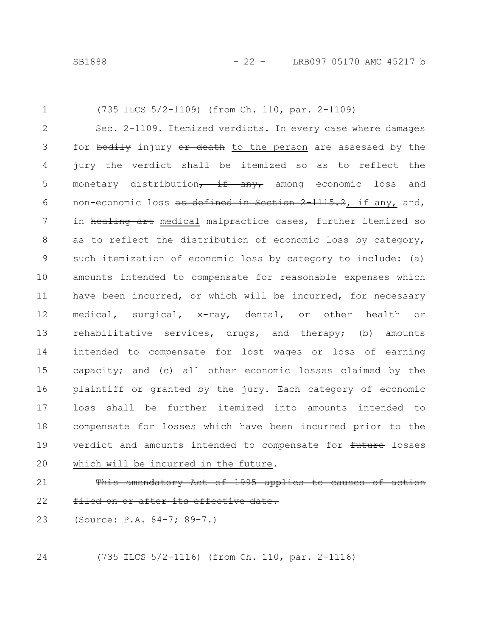(735 ILCS 5/2-1109) (from Ch. 110, par. 2-1109) Sec. 2-1109. Itemized verdicts. In every case where damages for bodily injury or death to the person are assessed by the jury the verdict shall be itemized so as to reflect the monetary distribution, if any, among economic loss and non-economic loss as defined in Section 2 1115.2, if any, and, in healing art medical malpractice cases, further itemized so as to reflect the distribution of economic loss by category, such itemization of economic loss by category to include: (a) amounts intended to compensate for reasonable expenses which have been incurred, or which will be incurred, for necessary medical, surgical, x-ray, dental, or other health or rehabilitative services, drugs, and therapy; (b) amounts intended to compensate for lost wages or loss of earning capacity; and (c) all other economic losses claimed by the plaintiff or granted by the jury. Each category of economic loss shall be further itemized into amounts intended to compensate for losses which have been incurred prior to the verdict and amounts intended to compensate for future losses which will be incurred in the future. This amendatory Act of 1995 applies to causes of 1 2 3 4 5 6 7 8 9 10 11 12 13 14 15 16 17 18 19 20 21

- filed on or after its effective date. 22
- (Source: P.A. 84-7; 89-7.) 23

24

(735 ILCS 5/2-1116) (from Ch. 110, par. 2-1116)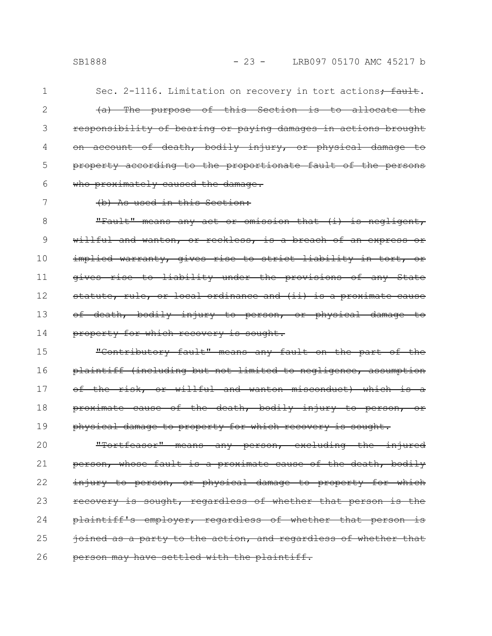Sec. 2-1116. Limitation on recovery in tort actions $\frac{1}{10}$  fault. (a) The purpose of this Section is to allocate the responsibility of bearing or paying damages in actions brought account of death, bodily injury, or physical damage

property according to the proportionate fault of the persons who proximately caused the damage. 5 6

### 7

1

2

3

4

#### (b) As used in this Section:

"Fault" means any act or omission that (i) is negligent, willful and wanton, or reckless, is a breach of an express or implied warranty, gives rise to strict liability in tort, or gives rise to liability under the provisions of any State statute, rule, or local ordinance and (ii) is a proximate cause of death, bodily injury to person, or physical damage property for which recovery is sought. 8 9 10 11 12 13 14

"Contributory fault" means any fault on the part of the plaintiff (including but not limited to negligence, assumption of the risk, or willful and wanton misconduct) which is proximate cause of the death, bodily injury to person, or physical damage to property for which recovery is sought. 15 16 17 18 19

"Tortfeasor" means any person, excluding the injured person, whose fault is a proximate cause of the death, bodily injury to person, or physical damage to property for which recovery is sought, regardless of whether that person is the plaintiff's employer, regardless of whether that person ioined as a party to the action, and regardless of whether that person may have settled with the plaintiff. 20 21 22 23 24 25 26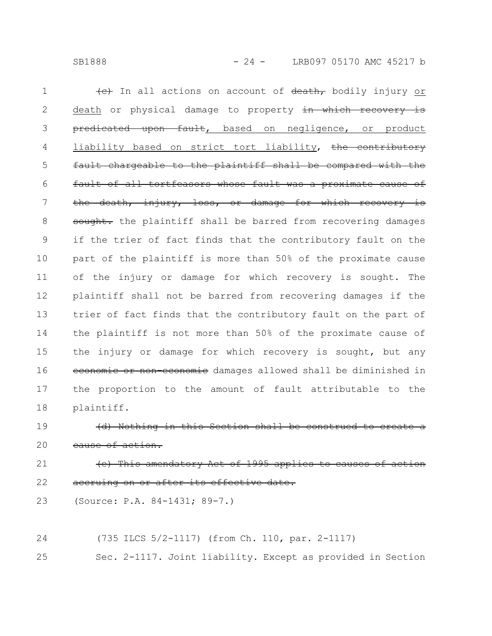(e) In all actions on account of death, bodily injury or death or physical damage to property in which recovery is predicated upon fault, based on negligence, or product liability based on strict tort liability, the contributory fault chargeable to the plaintiff shall be compared with the fault of all tortfeasors whose fault was a proximate cause of the death, injury, loss, or damage for which recovery is sought. the plaintiff shall be barred from recovering damages if the trier of fact finds that the contributory fault on the part of the plaintiff is more than 50% of the proximate cause of the injury or damage for which recovery is sought. The plaintiff shall not be barred from recovering damages if the trier of fact finds that the contributory fault on the part of the plaintiff is not more than 50% of the proximate cause of the injury or damage for which recovery is sought, but any economic or non-economic damages allowed shall be diminished in the proportion to the amount of fault attributable to the plaintiff. 1 2 3 4 5 6 7 8 9 10 11 12 13 14 15 16 17 18

(d) Nothing in this Section shall be cause of action. 19 20

(e) This amendatory Act of 1995 app accruing on or after its effective date. 21 22

(Source: P.A. 84-1431; 89-7.) 23

(735 ILCS 5/2-1117) (from Ch. 110, par. 2-1117) 24

Sec. 2-1117. Joint liability. Except as provided in Section 25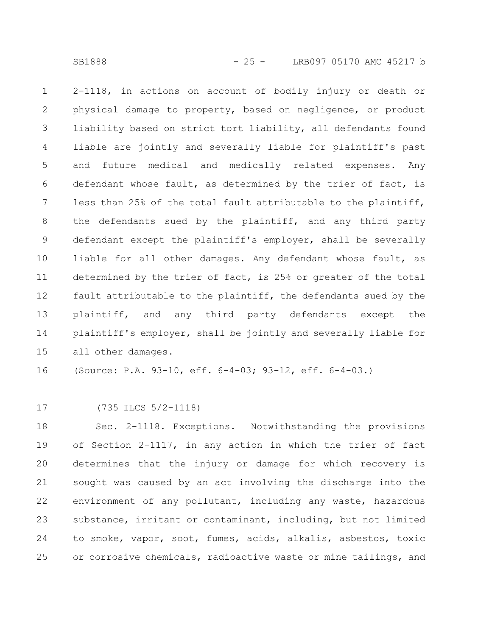2-1118, in actions on account of bodily injury or death or physical damage to property, based on negligence, or product liability based on strict tort liability, all defendants found liable are jointly and severally liable for plaintiff's past and future medical and medically related expenses. Any defendant whose fault, as determined by the trier of fact, is less than 25% of the total fault attributable to the plaintiff, the defendants sued by the plaintiff, and any third party defendant except the plaintiff's employer, shall be severally liable for all other damages. Any defendant whose fault, as determined by the trier of fact, is 25% or greater of the total fault attributable to the plaintiff, the defendants sued by the plaintiff, and any third party defendants except the plaintiff's employer, shall be jointly and severally liable for all other damages. 1 2 3 4 5 6 7 8 9 10 11 12 13 14 15

(Source: P.A. 93-10, eff. 6-4-03; 93-12, eff. 6-4-03.) 16

(735 ILCS 5/2-1118) 17

Sec. 2-1118. Exceptions. Notwithstanding the provisions of Section 2-1117, in any action in which the trier of fact determines that the injury or damage for which recovery is sought was caused by an act involving the discharge into the environment of any pollutant, including any waste, hazardous substance, irritant or contaminant, including, but not limited to smoke, vapor, soot, fumes, acids, alkalis, asbestos, toxic or corrosive chemicals, radioactive waste or mine tailings, and 18 19 20 21 22 23 24 25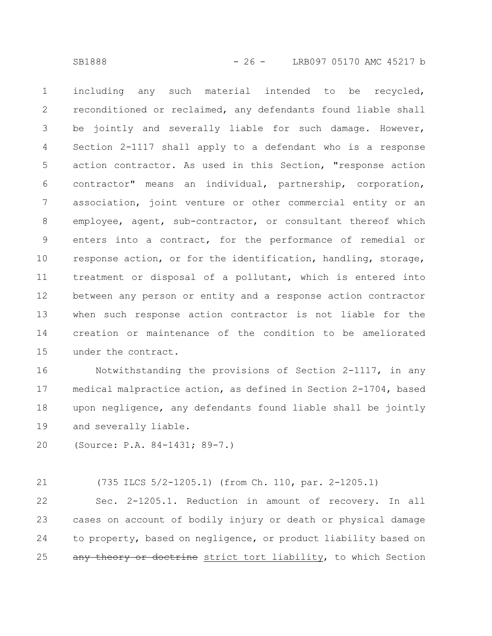including any such material intended to be recycled, reconditioned or reclaimed, any defendants found liable shall be jointly and severally liable for such damage. However, Section 2-1117 shall apply to a defendant who is a response action contractor. As used in this Section, "response action contractor" means an individual, partnership, corporation, association, joint venture or other commercial entity or an employee, agent, sub-contractor, or consultant thereof which enters into a contract, for the performance of remedial or response action, or for the identification, handling, storage, treatment or disposal of a pollutant, which is entered into between any person or entity and a response action contractor when such response action contractor is not liable for the creation or maintenance of the condition to be ameliorated under the contract. 1 2 3 4 5 6 7 8 9 10 11 12 13 14 15

Notwithstanding the provisions of Section 2-1117, in any medical malpractice action, as defined in Section 2-1704, based upon negligence, any defendants found liable shall be jointly and severally liable. 16 17 18 19

(Source: P.A. 84-1431; 89-7.) 20

(735 ILCS 5/2-1205.1) (from Ch. 110, par. 2-1205.1) Sec. 2-1205.1. Reduction in amount of recovery. In all cases on account of bodily injury or death or physical damage to property, based on negligence, or product liability based on any theory or doctrine strict tort liability, to which Section 21 22 23 24 25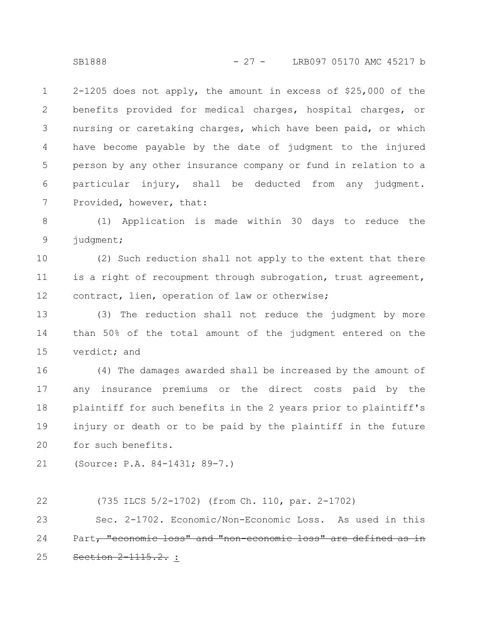2-1205 does not apply, the amount in excess of \$25,000 of the benefits provided for medical charges, hospital charges, or nursing or caretaking charges, which have been paid, or which have become payable by the date of judgment to the injured person by any other insurance company or fund in relation to a particular injury, shall be deducted from any judgment. Provided, however, that: 1 2 3 4 5 6 7

(1) Application is made within 30 days to reduce the judgment; 8 9

(2) Such reduction shall not apply to the extent that there is a right of recoupment through subrogation, trust agreement, contract, lien, operation of law or otherwise; 10 11 12

(3) The reduction shall not reduce the judgment by more than 50% of the total amount of the judgment entered on the verdict; and 13 14 15

(4) The damages awarded shall be increased by the amount of any insurance premiums or the direct costs paid by the plaintiff for such benefits in the 2 years prior to plaintiff's injury or death or to be paid by the plaintiff in the future for such benefits. 16 17 18 19 20

```
(Source: P.A. 84-1431; 89-7.)
21
```
(735 ILCS 5/2-1702) (from Ch. 110, par. 2-1702) 22

Sec. 2-1702. Economic/Non-Economic Loss. As used in this Part, "economic loss" and "non-economic loss" are defined as in Section 2 1115.2. : 23 24 25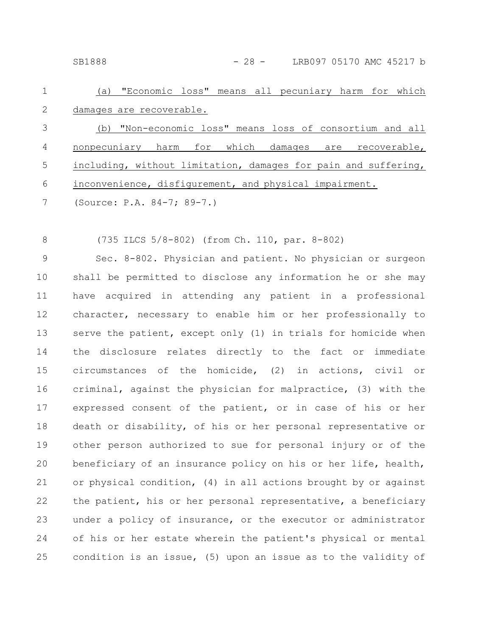SB1888 - 28 - LRB097 05170 AMC 45217 b

(a) "Economic loss" means all pecuniary harm for which damages are recoverable. (b) "Non-economic loss" means loss of consortium and all nonpecuniary harm for which damages are recoverable, including, without limitation, damages for pain and suffering, 1 2 3 4 5

inconvenience, disfigurement, and physical impairment. 6

(Source: P.A. 84-7; 89-7.) 7

(735 ILCS 5/8-802) (from Ch. 110, par. 8-802) 8

Sec. 8-802. Physician and patient. No physician or surgeon shall be permitted to disclose any information he or she may have acquired in attending any patient in a professional character, necessary to enable him or her professionally to serve the patient, except only (1) in trials for homicide when the disclosure relates directly to the fact or immediate circumstances of the homicide, (2) in actions, civil or criminal, against the physician for malpractice, (3) with the expressed consent of the patient, or in case of his or her death or disability, of his or her personal representative or other person authorized to sue for personal injury or of the beneficiary of an insurance policy on his or her life, health, or physical condition, (4) in all actions brought by or against the patient, his or her personal representative, a beneficiary under a policy of insurance, or the executor or administrator of his or her estate wherein the patient's physical or mental condition is an issue, (5) upon an issue as to the validity of 9 10 11 12 13 14 15 16 17 18 19 20 21 22 23 24 25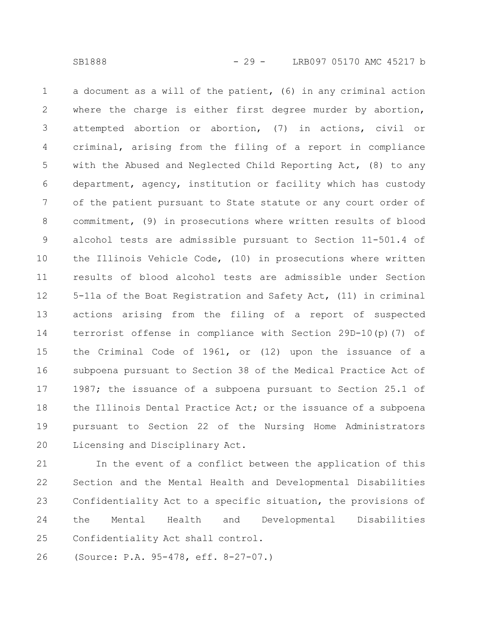a document as a will of the patient, (6) in any criminal action where the charge is either first degree murder by abortion, attempted abortion or abortion, (7) in actions, civil or criminal, arising from the filing of a report in compliance with the Abused and Neglected Child Reporting Act, (8) to any department, agency, institution or facility which has custody of the patient pursuant to State statute or any court order of commitment, (9) in prosecutions where written results of blood alcohol tests are admissible pursuant to Section 11-501.4 of the Illinois Vehicle Code, (10) in prosecutions where written results of blood alcohol tests are admissible under Section 5-11a of the Boat Registration and Safety Act, (11) in criminal actions arising from the filing of a report of suspected terrorist offense in compliance with Section 29D-10(p)(7) of the Criminal Code of 1961, or (12) upon the issuance of a subpoena pursuant to Section 38 of the Medical Practice Act of 1987; the issuance of a subpoena pursuant to Section 25.1 of the Illinois Dental Practice Act; or the issuance of a subpoena pursuant to Section 22 of the Nursing Home Administrators Licensing and Disciplinary Act. 1 2 3 4 5 6 7 8 9 10 11 12 13 14 15 16 17 18 19 20

In the event of a conflict between the application of this Section and the Mental Health and Developmental Disabilities Confidentiality Act to a specific situation, the provisions of the Mental Health and Developmental Disabilities Confidentiality Act shall control. 21 22 23 24 25

(Source: P.A. 95-478, eff. 8-27-07.) 26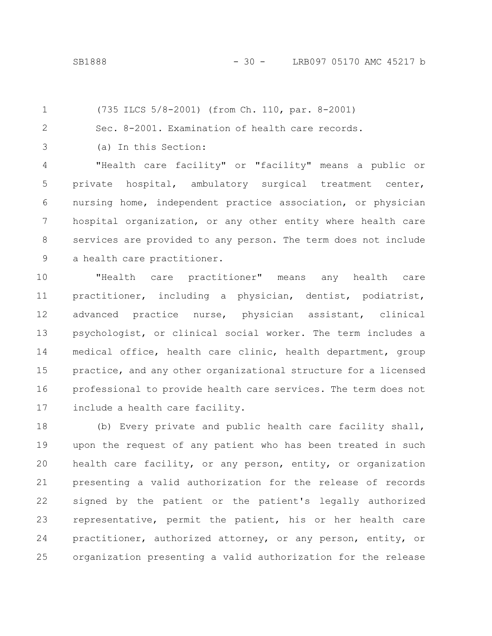(735 ILCS 5/8-2001) (from Ch. 110, par. 8-2001) 1

Sec. 8-2001. Examination of health care records.

3

2

(a) In this Section:

"Health care facility" or "facility" means a public or private hospital, ambulatory surgical treatment center, nursing home, independent practice association, or physician hospital organization, or any other entity where health care services are provided to any person. The term does not include a health care practitioner. 4 5 6 7 8 9

"Health care practitioner" means any health care practitioner, including a physician, dentist, podiatrist, advanced practice nurse, physician assistant, clinical psychologist, or clinical social worker. The term includes a medical office, health care clinic, health department, group practice, and any other organizational structure for a licensed professional to provide health care services. The term does not include a health care facility. 10 11 12 13 14 15 16 17

(b) Every private and public health care facility shall, upon the request of any patient who has been treated in such health care facility, or any person, entity, or organization presenting a valid authorization for the release of records signed by the patient or the patient's legally authorized representative, permit the patient, his or her health care practitioner, authorized attorney, or any person, entity, or organization presenting a valid authorization for the release 18 19 20 21 22 23 24 25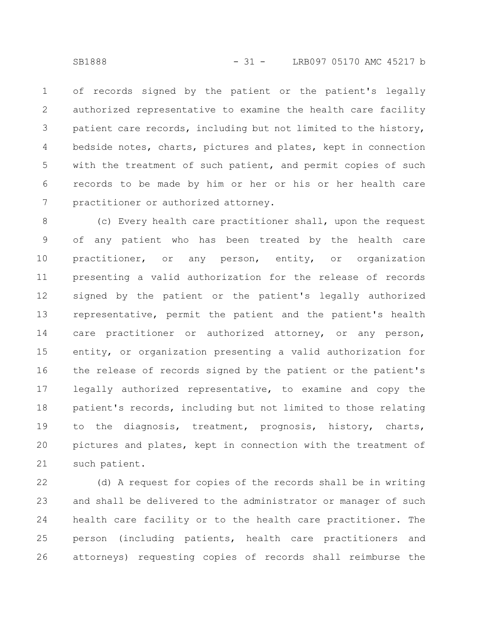of records signed by the patient or the patient's legally authorized representative to examine the health care facility patient care records, including but not limited to the history, bedside notes, charts, pictures and plates, kept in connection with the treatment of such patient, and permit copies of such records to be made by him or her or his or her health care practitioner or authorized attorney. 1 2 3 4 5 6 7

(c) Every health care practitioner shall, upon the request of any patient who has been treated by the health care practitioner, or any person, entity, or organization presenting a valid authorization for the release of records signed by the patient or the patient's legally authorized representative, permit the patient and the patient's health care practitioner or authorized attorney, or any person, entity, or organization presenting a valid authorization for the release of records signed by the patient or the patient's legally authorized representative, to examine and copy the patient's records, including but not limited to those relating to the diagnosis, treatment, prognosis, history, charts, pictures and plates, kept in connection with the treatment of such patient. 8 9 10 11 12 13 14 15 16 17 18 19 20 21

(d) A request for copies of the records shall be in writing and shall be delivered to the administrator or manager of such health care facility or to the health care practitioner. The person (including patients, health care practitioners and attorneys) requesting copies of records shall reimburse the 22 23 24 25 26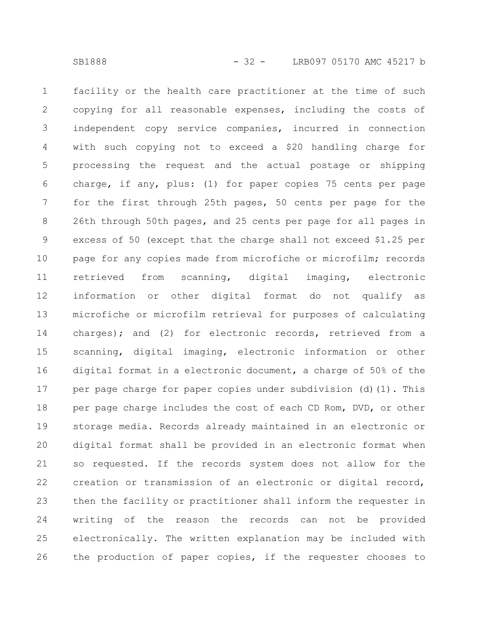facility or the health care practitioner at the time of such copying for all reasonable expenses, including the costs of independent copy service companies, incurred in connection with such copying not to exceed a \$20 handling charge for processing the request and the actual postage or shipping charge, if any, plus: (1) for paper copies 75 cents per page for the first through 25th pages, 50 cents per page for the 26th through 50th pages, and 25 cents per page for all pages in excess of 50 (except that the charge shall not exceed \$1.25 per page for any copies made from microfiche or microfilm; records retrieved from scanning, digital imaging, electronic information or other digital format do not qualify as microfiche or microfilm retrieval for purposes of calculating charges); and (2) for electronic records, retrieved from a scanning, digital imaging, electronic information or other digital format in a electronic document, a charge of 50% of the per page charge for paper copies under subdivision (d)(1). This per page charge includes the cost of each CD Rom, DVD, or other storage media. Records already maintained in an electronic or digital format shall be provided in an electronic format when so requested. If the records system does not allow for the creation or transmission of an electronic or digital record, then the facility or practitioner shall inform the requester in writing of the reason the records can not be provided electronically. The written explanation may be included with the production of paper copies, if the requester chooses to 1 2 3 4 5 6 7 8 9 10 11 12 13 14 15 16 17 18 19 20 21 22 23 24 25 26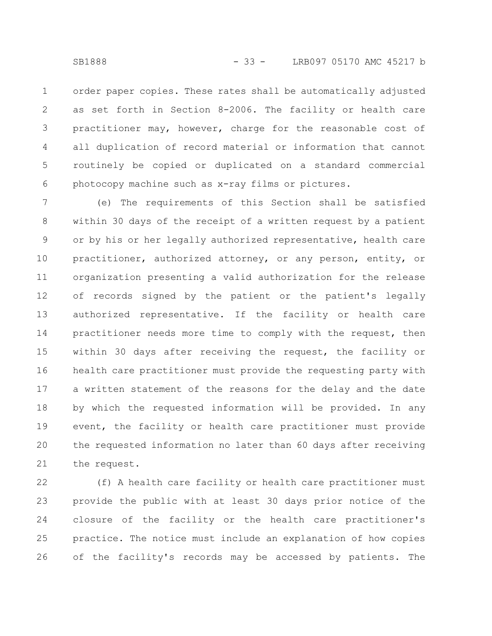order paper copies. These rates shall be automatically adjusted as set forth in Section 8-2006. The facility or health care practitioner may, however, charge for the reasonable cost of all duplication of record material or information that cannot routinely be copied or duplicated on a standard commercial photocopy machine such as x-ray films or pictures. 1 2 3 4 5 6

(e) The requirements of this Section shall be satisfied within 30 days of the receipt of a written request by a patient or by his or her legally authorized representative, health care practitioner, authorized attorney, or any person, entity, or organization presenting a valid authorization for the release of records signed by the patient or the patient's legally authorized representative. If the facility or health care practitioner needs more time to comply with the request, then within 30 days after receiving the request, the facility or health care practitioner must provide the requesting party with a written statement of the reasons for the delay and the date by which the requested information will be provided. In any event, the facility or health care practitioner must provide the requested information no later than 60 days after receiving the request. 7 8 9 10 11 12 13 14 15 16 17 18 19 20 21

(f) A health care facility or health care practitioner must provide the public with at least 30 days prior notice of the closure of the facility or the health care practitioner's practice. The notice must include an explanation of how copies of the facility's records may be accessed by patients. The 22 23 24 25 26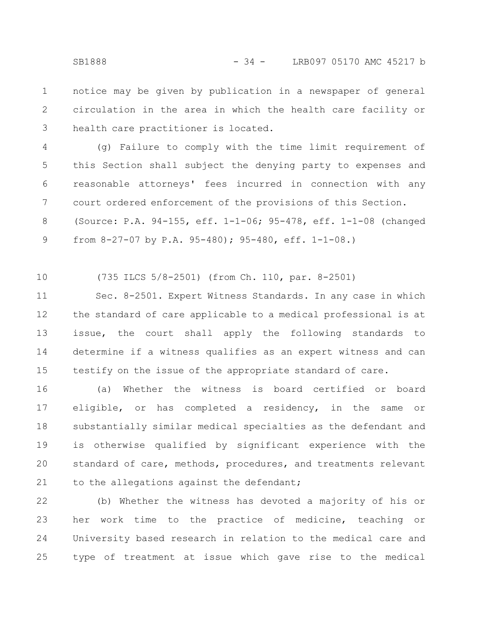notice may be given by publication in a newspaper of general circulation in the area in which the health care facility or health care practitioner is located. 1 2 3

(g) Failure to comply with the time limit requirement of this Section shall subject the denying party to expenses and reasonable attorneys' fees incurred in connection with any court ordered enforcement of the provisions of this Section. (Source: P.A. 94-155, eff. 1-1-06; 95-478, eff. 1-1-08 (changed from 8-27-07 by P.A. 95-480); 95-480, eff. 1-1-08.) 4 5 6 7 8 9

(735 ILCS 5/8-2501) (from Ch. 110, par. 8-2501) 10

Sec. 8-2501. Expert Witness Standards. In any case in which the standard of care applicable to a medical professional is at issue, the court shall apply the following standards to determine if a witness qualifies as an expert witness and can testify on the issue of the appropriate standard of care. 11 12 13 14 15

(a) Whether the witness is board certified or board eligible, or has completed a residency, in the same or substantially similar medical specialties as the defendant and is otherwise qualified by significant experience with the standard of care, methods, procedures, and treatments relevant to the allegations against the defendant; 16 17 18 19 20 21

(b) Whether the witness has devoted a majority of his or her work time to the practice of medicine, teaching or University based research in relation to the medical care and type of treatment at issue which gave rise to the medical 22 23 24 25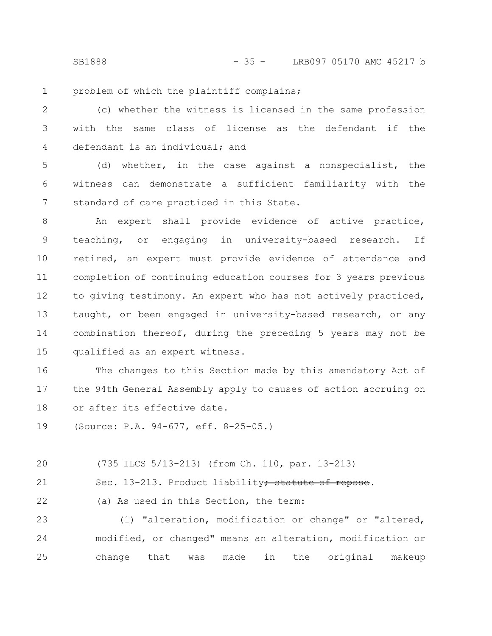SB1888 - 35 - LRB097 05170 AMC 45217 b

problem of which the plaintiff complains; 1

(c) whether the witness is licensed in the same profession with the same class of license as the defendant if the defendant is an individual; and 2 3 4

(d) whether, in the case against a nonspecialist, the witness can demonstrate a sufficient familiarity with the standard of care practiced in this State. 5 6 7

An expert shall provide evidence of active practice, teaching, or engaging in university-based research. If retired, an expert must provide evidence of attendance and completion of continuing education courses for 3 years previous to giving testimony. An expert who has not actively practiced, taught, or been engaged in university-based research, or any combination thereof, during the preceding 5 years may not be qualified as an expert witness. 8 9 10 11 12 13 14 15

The changes to this Section made by this amendatory Act of the 94th General Assembly apply to causes of action accruing on or after its effective date. 16 17 18

(Source: P.A. 94-677, eff. 8-25-05.) 19

(735 ILCS 5/13-213) (from Ch. 110, par. 13-213) 20

Sec. 13-213. Product liability; statute of repose. 21

(a) As used in this Section, the term: 22

(1) "alteration, modification or change" or "altered, modified, or changed" means an alteration, modification or change that was made in the original makeup 23 24 25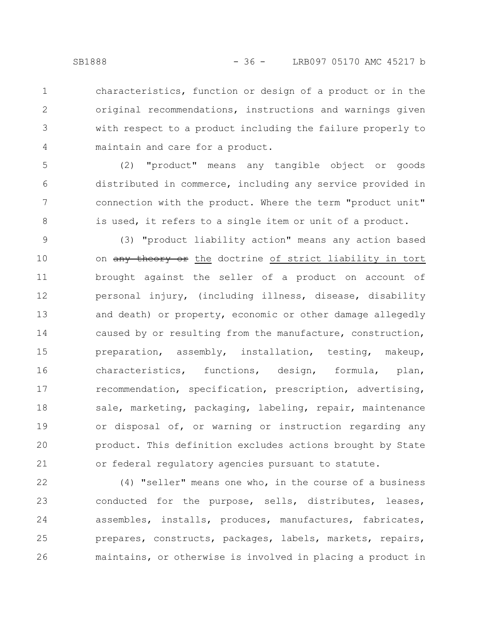5

6

7

8

characteristics, function or design of a product or in the original recommendations, instructions and warnings given with respect to a product including the failure properly to maintain and care for a product. 1 2 3 4

(2) "product" means any tangible object or goods distributed in commerce, including any service provided in connection with the product. Where the term "product unit" is used, it refers to a single item or unit of a product.

(3) "product liability action" means any action based on any theory or the doctrine of strict liability in tort brought against the seller of a product on account of personal injury, (including illness, disease, disability and death) or property, economic or other damage allegedly caused by or resulting from the manufacture, construction, preparation, assembly, installation, testing, makeup, characteristics, functions, design, formula, plan, recommendation, specification, prescription, advertising, sale, marketing, packaging, labeling, repair, maintenance or disposal of, or warning or instruction regarding any product. This definition excludes actions brought by State or federal regulatory agencies pursuant to statute. 9 10 11 12 13 14 15 16 17 18 19 20 21

(4) "seller" means one who, in the course of a business conducted for the purpose, sells, distributes, leases, assembles, installs, produces, manufactures, fabricates, prepares, constructs, packages, labels, markets, repairs, maintains, or otherwise is involved in placing a product in 22 23 24 25 26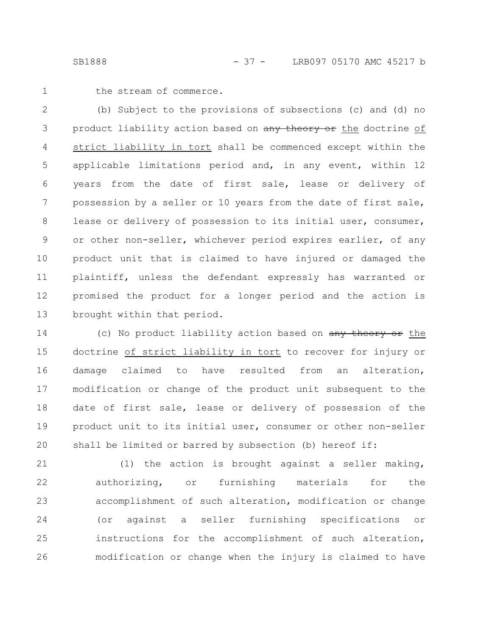1

the stream of commerce.

(b) Subject to the provisions of subsections (c) and (d) no product liability action based on any theory or the doctrine of strict liability in tort shall be commenced except within the applicable limitations period and, in any event, within 12 years from the date of first sale, lease or delivery of possession by a seller or 10 years from the date of first sale, lease or delivery of possession to its initial user, consumer, or other non-seller, whichever period expires earlier, of any product unit that is claimed to have injured or damaged the plaintiff, unless the defendant expressly has warranted or promised the product for a longer period and the action is brought within that period. 2 3 4 5 6 7 8 9 10 11 12 13

(c) No product liability action based on any theory or the doctrine of strict liability in tort to recover for injury or damage claimed to have resulted from an alteration, modification or change of the product unit subsequent to the date of first sale, lease or delivery of possession of the product unit to its initial user, consumer or other non-seller shall be limited or barred by subsection (b) hereof if: 14 15 16 17 18 19 20

(1) the action is brought against a seller making, authorizing, or furnishing materials for the accomplishment of such alteration, modification or change (or against a seller furnishing specifications or instructions for the accomplishment of such alteration, modification or change when the injury is claimed to have 21 22 23 24 25 26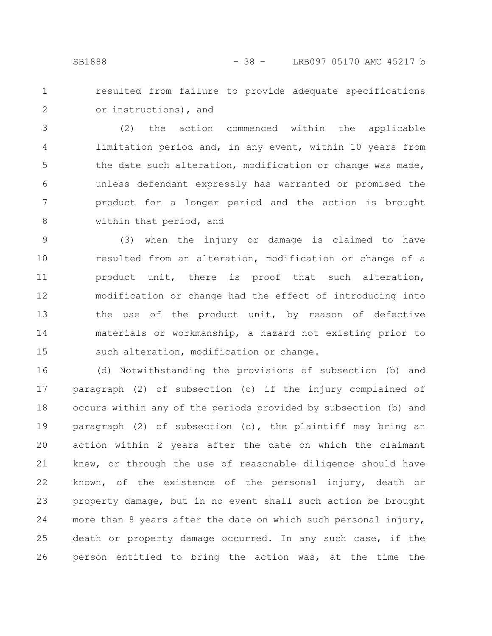- 
- 1 2

resulted from failure to provide adequate specifications or instructions), and

(2) the action commenced within the applicable limitation period and, in any event, within 10 years from the date such alteration, modification or change was made, unless defendant expressly has warranted or promised the product for a longer period and the action is brought within that period, and 3 4 5 6 7 8

(3) when the injury or damage is claimed to have resulted from an alteration, modification or change of a product unit, there is proof that such alteration, modification or change had the effect of introducing into the use of the product unit, by reason of defective materials or workmanship, a hazard not existing prior to such alteration, modification or change. 9 10 11 12 13 14 15

(d) Notwithstanding the provisions of subsection (b) and paragraph (2) of subsection (c) if the injury complained of occurs within any of the periods provided by subsection (b) and paragraph (2) of subsection (c), the plaintiff may bring an action within 2 years after the date on which the claimant knew, or through the use of reasonable diligence should have known, of the existence of the personal injury, death or property damage, but in no event shall such action be brought more than 8 years after the date on which such personal injury, death or property damage occurred. In any such case, if the person entitled to bring the action was, at the time the 16 17 18 19 20 21 22 23 24 25 26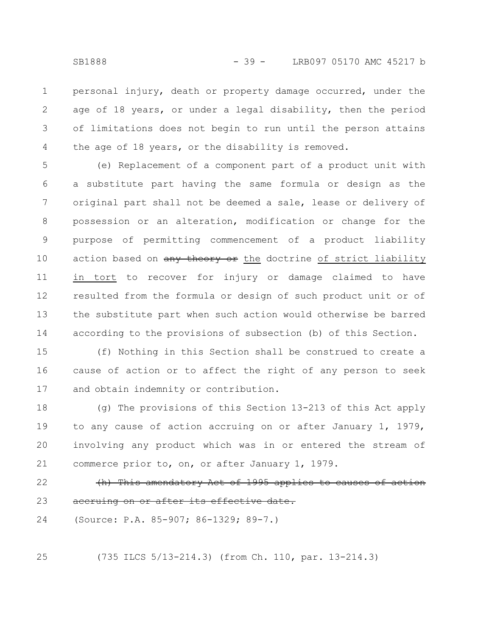personal injury, death or property damage occurred, under the age of 18 years, or under a legal disability, then the period of limitations does not begin to run until the person attains the age of 18 years, or the disability is removed. 1 2 3 4

(e) Replacement of a component part of a product unit with a substitute part having the same formula or design as the original part shall not be deemed a sale, lease or delivery of possession or an alteration, modification or change for the purpose of permitting commencement of a product liability action based on any theory or the doctrine of strict liability in tort to recover for injury or damage claimed to have resulted from the formula or design of such product unit or of the substitute part when such action would otherwise be barred according to the provisions of subsection (b) of this Section. 5 6 7 8 9 10 11 12 13 14

(f) Nothing in this Section shall be construed to create a cause of action or to affect the right of any person to seek and obtain indemnity or contribution. 15 16 17

(g) The provisions of this Section 13-213 of this Act apply to any cause of action accruing on or after January 1, 1979, involving any product which was in or entered the stream of commerce prior to, on, or after January 1, 1979. 18 19 20 21

(h) This amendatory Act of 1995 applies to causes of action accruing on or after its effective date. 22 23

(Source: P.A. 85-907; 86-1329; 89-7.) 24

25

(735 ILCS 5/13-214.3) (from Ch. 110, par. 13-214.3)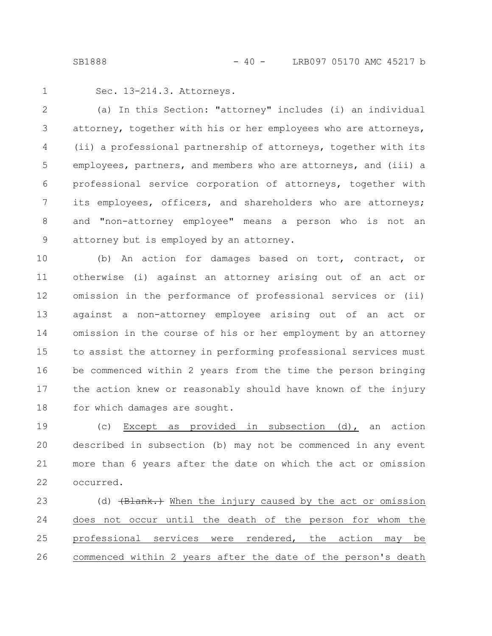1

Sec. 13-214.3. Attorneys.

(a) In this Section: "attorney" includes (i) an individual attorney, together with his or her employees who are attorneys, (ii) a professional partnership of attorneys, together with its employees, partners, and members who are attorneys, and (iii) a professional service corporation of attorneys, together with its employees, officers, and shareholders who are attorneys; and "non-attorney employee" means a person who is not an attorney but is employed by an attorney. 2 3 4 5 6 7 8 9

(b) An action for damages based on tort, contract, or otherwise (i) against an attorney arising out of an act or omission in the performance of professional services or (ii) against a non-attorney employee arising out of an act or omission in the course of his or her employment by an attorney to assist the attorney in performing professional services must be commenced within 2 years from the time the person bringing the action knew or reasonably should have known of the injury for which damages are sought. 10 11 12 13 14 15 16 17 18

(c) Except as provided in subsection (d), an action described in subsection (b) may not be commenced in any event more than 6 years after the date on which the act or omission occurred. 19 20 21 22

(d) (Blank.) When the injury caused by the act or omission does not occur until the death of the person for whom the professional services were rendered, the action may be commenced within 2 years after the date of the person's death 23 24 25 26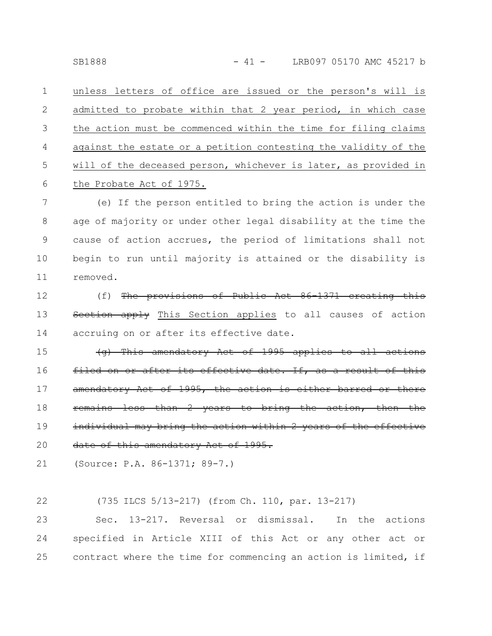unless letters of office are issued or the person's will is admitted to probate within that 2 year period, in which case the action must be commenced within the time for filing claims against the estate or a petition contesting the validity of the will of the deceased person, whichever is later, as provided in the Probate Act of 1975. 1 2 3 4 5 6

(e) If the person entitled to bring the action is under the age of majority or under other legal disability at the time the cause of action accrues, the period of limitations shall not begin to run until majority is attained or the disability is removed. 7 8 9 10 11

(f) The provisions of Public Act 86-1371 creating this etion apply This Section applies to all causes of action accruing on or after its effective date. 12 13 14

 $(q)$  This amendatory Act of 1995 applies filed on or after its effective date. If, amendatory Act of 1995, the action is either barred or mains less than 2 years to bring the individual may bring the action within 2 years of the effective date of this amendatory Act of 1995. 15 16 17 18 19 20

(Source: P.A. 86-1371; 89-7.) 21

(735 ILCS 5/13-217) (from Ch. 110, par. 13-217) 22

Sec. 13-217. Reversal or dismissal. In the actions specified in Article XIII of this Act or any other act or contract where the time for commencing an action is limited, if 23 24 25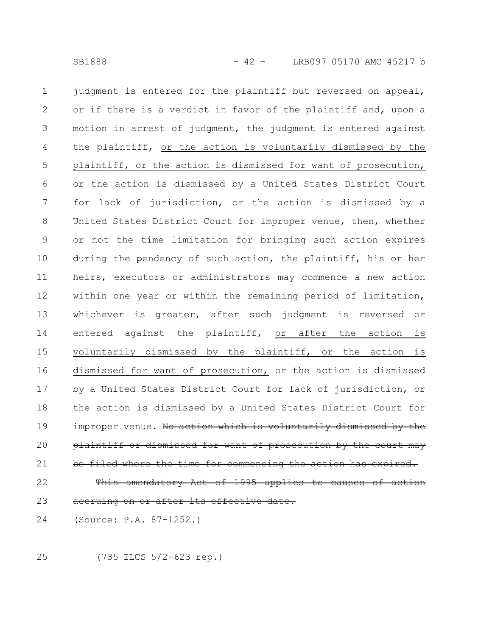judgment is entered for the plaintiff but reversed on appeal, or if there is a verdict in favor of the plaintiff and, upon a motion in arrest of judgment, the judgment is entered against the plaintiff, or the action is voluntarily dismissed by the plaintiff, or the action is dismissed for want of prosecution, or the action is dismissed by a United States District Court for lack of jurisdiction, or the action is dismissed by a United States District Court for improper venue, then, whether or not the time limitation for bringing such action expires during the pendency of such action, the plaintiff, his or her heirs, executors or administrators may commence a new action within one year or within the remaining period of limitation, whichever is greater, after such judgment is reversed or entered against the plaintiff, or after the action is voluntarily dismissed by the plaintiff, or the action is dismissed for want of prosecution, or the action is dismissed by a United States District Court for lack of jurisdiction, or the action is dismissed by a United States District Court for improper venue. No action which is voluntarily dismissed by the plaintiff or dismissed for want of prosecution by the court may be filed where the time for commencing This amendatory Act of 1995 applies to causes 1 2 3 4 5 6 7 8 9 10 11 12 13 14 15 16 17 18 19 20 21 22

- eruing on or after its effective 23
- (Source: P.A. 87-1252.) 24

25

(735 ILCS 5/2-623 rep.)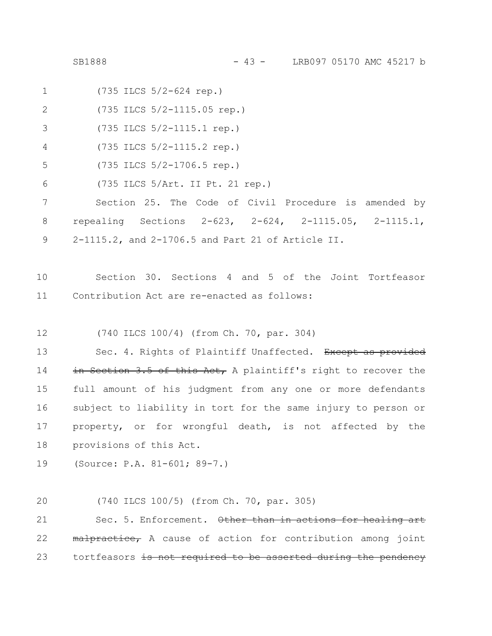- (735 ILCS 5/2-624 rep.) 1
- (735 ILCS 5/2-1115.05 rep.) 2
- (735 ILCS 5/2-1115.1 rep.) 3
- (735 ILCS 5/2-1115.2 rep.) 4
- (735 ILCS 5/2-1706.5 rep.) 5
- (735 ILCS 5/Art. II Pt. 21 rep.) 6

Section 25. The Code of Civil Procedure is amended by repealing Sections 2-623, 2-624, 2-1115.05, 2-1115.1, 2-1115.2, and 2-1706.5 and Part 21 of Article II. 7 8 9

- Section 30. Sections 4 and 5 of the Joint Tortfeasor Contribution Act are re-enacted as follows: 10 11
- (740 ILCS 100/4) (from Ch. 70, par. 304) 12

Sec. 4. Rights of Plaintiff Unaffected. Except as provided in Section 3.5 of this Act, A plaintiff's right to recover the full amount of his judgment from any one or more defendants subject to liability in tort for the same injury to person or property, or for wrongful death, is not affected by the provisions of this Act. 13 14 15 16 17 18

- (Source: P.A. 81-601; 89-7.) 19
- (740 ILCS 100/5) (from Ch. 70, par. 305) 20

Sec. 5. Enforcement. Other than in actions for healing art malpractice, A cause of action for contribution among joint tortfeasors is not required to be asserted during the pendency 21 22 23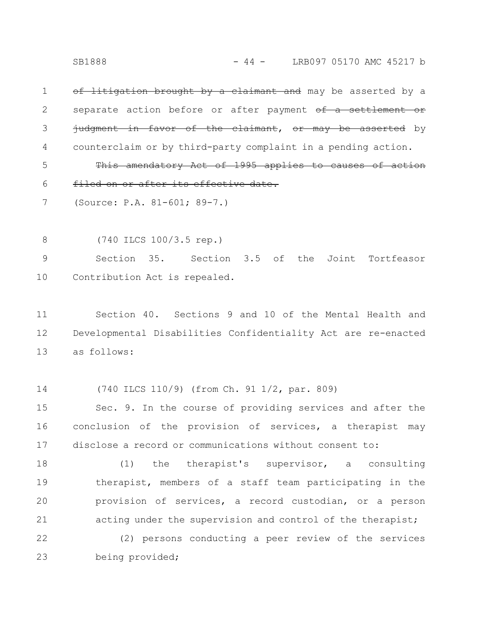SB1888 - 44 - LRB097 05170 AMC 45217 b

of litigation brought by a claimant and may be asserted by a separate action before or after payment of a settlement or judgment in favor of the claimant, or may be asserted by counterclaim or by third-party complaint in a pending action. 1 2 3 4

This amendatory Act of 1995 applies to causes of action filed on or after its effective date. 5 6

(Source: P.A. 81-601; 89-7.) 7

(740 ILCS 100/3.5 rep.) 8

Section 35. Section 3.5 of the Joint Tortfeasor Contribution Act is repealed. 9 10

Section 40. Sections 9 and 10 of the Mental Health and Developmental Disabilities Confidentiality Act are re-enacted as follows: 11 12 13

(740 ILCS 110/9) (from Ch. 91 1/2, par. 809) 14

Sec. 9. In the course of providing services and after the conclusion of the provision of services, a therapist may disclose a record or communications without consent to: 15 16 17

(1) the therapist's supervisor, a consulting therapist, members of a staff team participating in the provision of services, a record custodian, or a person acting under the supervision and control of the therapist; 18 19 20 21

(2) persons conducting a peer review of the services being provided; 22 23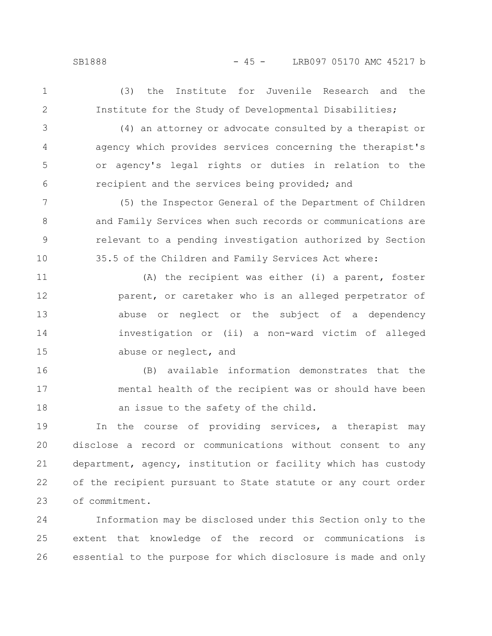1

2

(3) the Institute for Juvenile Research and the Institute for the Study of Developmental Disabilities;

(4) an attorney or advocate consulted by a therapist or agency which provides services concerning the therapist's or agency's legal rights or duties in relation to the recipient and the services being provided; and 3 4 5 6

(5) the Inspector General of the Department of Children and Family Services when such records or communications are relevant to a pending investigation authorized by Section 35.5 of the Children and Family Services Act where: 7 8 9 10

(A) the recipient was either (i) a parent, foster parent, or caretaker who is an alleged perpetrator of abuse or neglect or the subject of a dependency investigation or (ii) a non-ward victim of alleged abuse or neglect, and 11 12 13 14 15

(B) available information demonstrates that the mental health of the recipient was or should have been an issue to the safety of the child. 16 17 18

In the course of providing services, a therapist may disclose a record or communications without consent to any department, agency, institution or facility which has custody of the recipient pursuant to State statute or any court order of commitment. 19 20 21 22 23

Information may be disclosed under this Section only to the extent that knowledge of the record or communications is essential to the purpose for which disclosure is made and only 24 25 26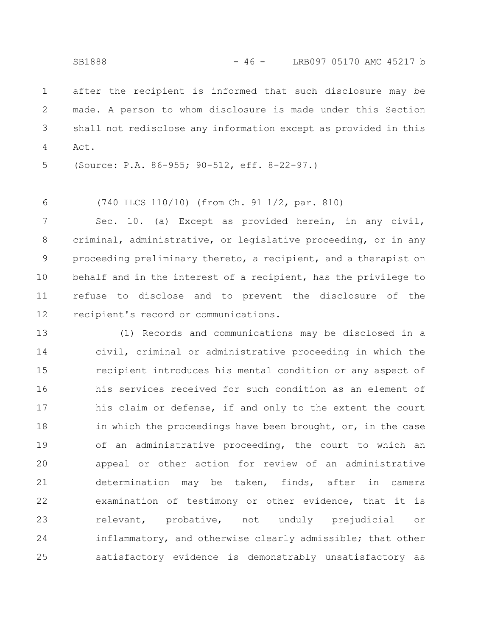after the recipient is informed that such disclosure may be made. A person to whom disclosure is made under this Section shall not redisclose any information except as provided in this Act. 1 2 3 4

(Source: P.A. 86-955; 90-512, eff. 8-22-97.) 5

(740 ILCS 110/10) (from Ch. 91 1/2, par. 810) 6

Sec. 10. (a) Except as provided herein, in any civil, criminal, administrative, or legislative proceeding, or in any proceeding preliminary thereto, a recipient, and a therapist on behalf and in the interest of a recipient, has the privilege to refuse to disclose and to prevent the disclosure of the recipient's record or communications. 7 8 9 10 11 12

(1) Records and communications may be disclosed in a civil, criminal or administrative proceeding in which the recipient introduces his mental condition or any aspect of his services received for such condition as an element of his claim or defense, if and only to the extent the court in which the proceedings have been brought, or, in the case of an administrative proceeding, the court to which an appeal or other action for review of an administrative determination may be taken, finds, after in camera examination of testimony or other evidence, that it is relevant, probative, not unduly prejudicial or inflammatory, and otherwise clearly admissible; that other satisfactory evidence is demonstrably unsatisfactory as 13 14 15 16 17 18 19 20 21 22 23 24 25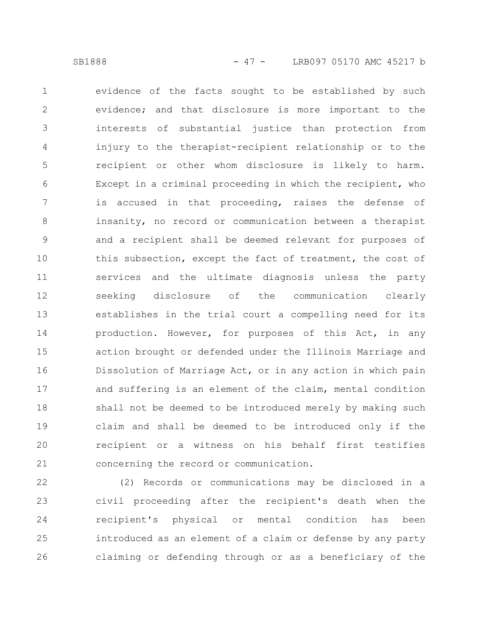evidence of the facts sought to be established by such evidence; and that disclosure is more important to the interests of substantial justice than protection from injury to the therapist-recipient relationship or to the recipient or other whom disclosure is likely to harm. Except in a criminal proceeding in which the recipient, who is accused in that proceeding, raises the defense of insanity, no record or communication between a therapist and a recipient shall be deemed relevant for purposes of this subsection, except the fact of treatment, the cost of services and the ultimate diagnosis unless the party seeking disclosure of the communication clearly establishes in the trial court a compelling need for its production. However, for purposes of this Act, in any action brought or defended under the Illinois Marriage and Dissolution of Marriage Act, or in any action in which pain and suffering is an element of the claim, mental condition shall not be deemed to be introduced merely by making such claim and shall be deemed to be introduced only if the recipient or a witness on his behalf first testifies concerning the record or communication. 1 2 3 4 5 6 7 8 9 10 11 12 13 14 15 16 17 18 19 20 21

(2) Records or communications may be disclosed in a civil proceeding after the recipient's death when the recipient's physical or mental condition has been introduced as an element of a claim or defense by any party claiming or defending through or as a beneficiary of the 22 23 24 25 26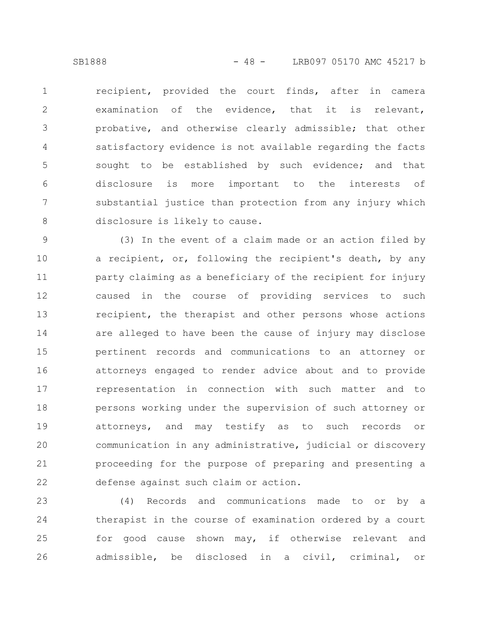recipient, provided the court finds, after in camera examination of the evidence, that it is relevant, probative, and otherwise clearly admissible; that other satisfactory evidence is not available regarding the facts sought to be established by such evidence; and that disclosure is more important to the interests of substantial justice than protection from any injury which disclosure is likely to cause. 1 2 3 4 5 6 7 8

(3) In the event of a claim made or an action filed by a recipient, or, following the recipient's death, by any party claiming as a beneficiary of the recipient for injury caused in the course of providing services to such recipient, the therapist and other persons whose actions are alleged to have been the cause of injury may disclose pertinent records and communications to an attorney or attorneys engaged to render advice about and to provide representation in connection with such matter and to persons working under the supervision of such attorney or attorneys, and may testify as to such records or communication in any administrative, judicial or discovery proceeding for the purpose of preparing and presenting a defense against such claim or action. 9 10 11 12 13 14 15 16 17 18 19 20 21 22

(4) Records and communications made to or by a therapist in the course of examination ordered by a court for good cause shown may, if otherwise relevant and admissible, be disclosed in a civil, criminal, or 23 24 25 26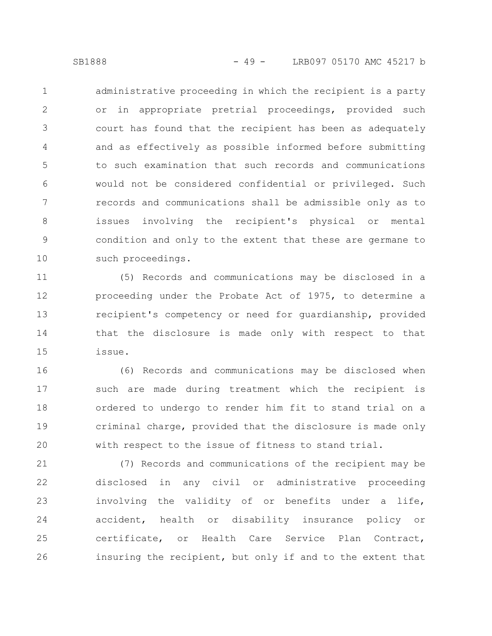administrative proceeding in which the recipient is a party or in appropriate pretrial proceedings, provided such court has found that the recipient has been as adequately and as effectively as possible informed before submitting to such examination that such records and communications would not be considered confidential or privileged. Such records and communications shall be admissible only as to issues involving the recipient's physical or mental condition and only to the extent that these are germane to such proceedings. 1 2 3 4 5 6 7 8 9 10

(5) Records and communications may be disclosed in a proceeding under the Probate Act of 1975, to determine a recipient's competency or need for guardianship, provided that the disclosure is made only with respect to that issue. 11 12 13 14 15

(6) Records and communications may be disclosed when such are made during treatment which the recipient is ordered to undergo to render him fit to stand trial on a criminal charge, provided that the disclosure is made only with respect to the issue of fitness to stand trial. 16 17 18 19 20

(7) Records and communications of the recipient may be disclosed in any civil or administrative proceeding involving the validity of or benefits under a life, accident, health or disability insurance policy or certificate, or Health Care Service Plan Contract, insuring the recipient, but only if and to the extent that 21 22 23 24 25 26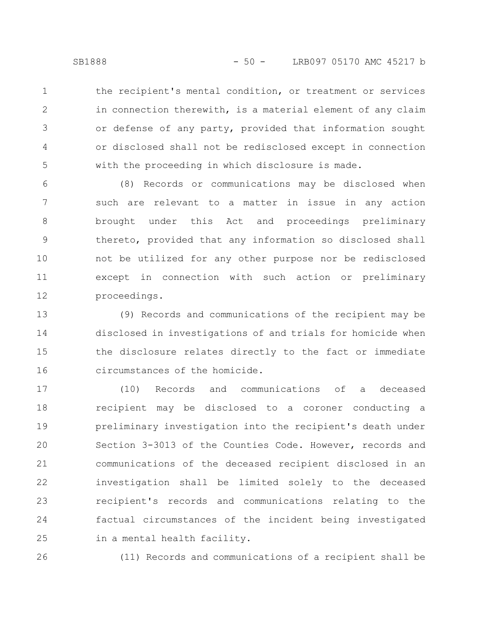1

2

3

4

5

the recipient's mental condition, or treatment or services in connection therewith, is a material element of any claim or defense of any party, provided that information sought or disclosed shall not be redisclosed except in connection with the proceeding in which disclosure is made.

(8) Records or communications may be disclosed when such are relevant to a matter in issue in any action brought under this Act and proceedings preliminary thereto, provided that any information so disclosed shall not be utilized for any other purpose nor be redisclosed except in connection with such action or preliminary proceedings. 6 7 8 9 10 11 12

(9) Records and communications of the recipient may be disclosed in investigations of and trials for homicide when the disclosure relates directly to the fact or immediate circumstances of the homicide. 13 14 15 16

(10) Records and communications of a deceased recipient may be disclosed to a coroner conducting a preliminary investigation into the recipient's death under Section 3-3013 of the Counties Code. However, records and communications of the deceased recipient disclosed in an investigation shall be limited solely to the deceased recipient's records and communications relating to the factual circumstances of the incident being investigated in a mental health facility. 17 18 19 20 21 22 23 24 25

26

(11) Records and communications of a recipient shall be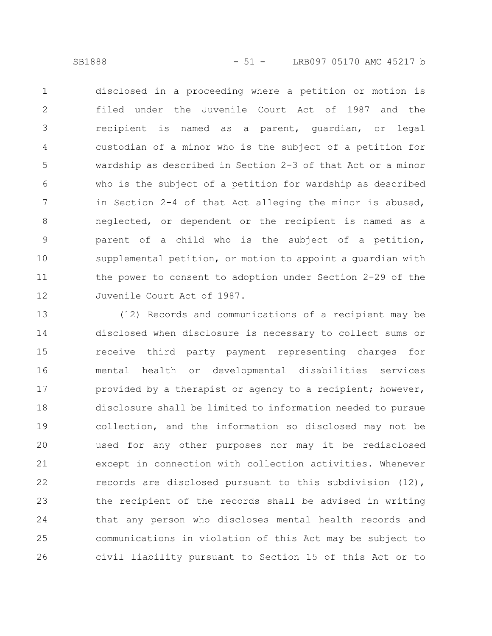disclosed in a proceeding where a petition or motion is filed under the Juvenile Court Act of 1987 and the recipient is named as a parent, guardian, or legal custodian of a minor who is the subject of a petition for wardship as described in Section 2-3 of that Act or a minor who is the subject of a petition for wardship as described in Section 2-4 of that Act alleging the minor is abused, neglected, or dependent or the recipient is named as a parent of a child who is the subject of a petition, supplemental petition, or motion to appoint a guardian with the power to consent to adoption under Section 2-29 of the Juvenile Court Act of 1987. 1 2 3 4 5 6 7 8 9 10 11 12

(12) Records and communications of a recipient may be disclosed when disclosure is necessary to collect sums or receive third party payment representing charges for mental health or developmental disabilities services provided by a therapist or agency to a recipient; however, disclosure shall be limited to information needed to pursue collection, and the information so disclosed may not be used for any other purposes nor may it be redisclosed except in connection with collection activities. Whenever records are disclosed pursuant to this subdivision (12), the recipient of the records shall be advised in writing that any person who discloses mental health records and communications in violation of this Act may be subject to civil liability pursuant to Section 15 of this Act or to 13 14 15 16 17 18 19 20 21 22 23 24 25 26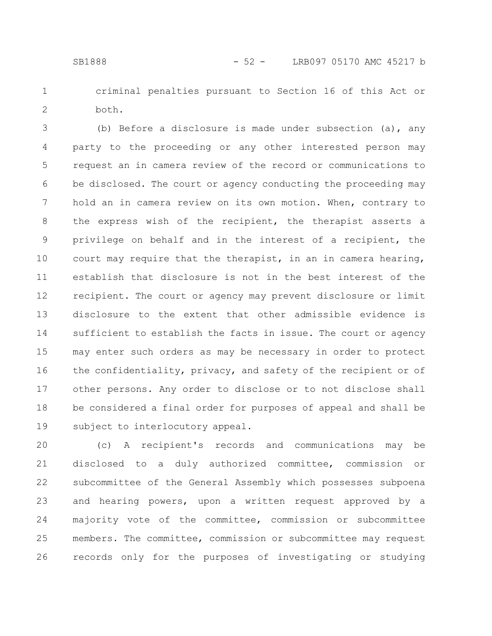criminal penalties pursuant to Section 16 of this Act or both. 1 2

(b) Before a disclosure is made under subsection (a), any party to the proceeding or any other interested person may request an in camera review of the record or communications to be disclosed. The court or agency conducting the proceeding may hold an in camera review on its own motion. When, contrary to the express wish of the recipient, the therapist asserts a privilege on behalf and in the interest of a recipient, the court may require that the therapist, in an in camera hearing, establish that disclosure is not in the best interest of the recipient. The court or agency may prevent disclosure or limit disclosure to the extent that other admissible evidence is sufficient to establish the facts in issue. The court or agency may enter such orders as may be necessary in order to protect the confidentiality, privacy, and safety of the recipient or of other persons. Any order to disclose or to not disclose shall be considered a final order for purposes of appeal and shall be subject to interlocutory appeal. 3 4 5 6 7 8 9 10 11 12 13 14 15 16 17 18 19

(c) A recipient's records and communications may be disclosed to a duly authorized committee, commission or subcommittee of the General Assembly which possesses subpoena and hearing powers, upon a written request approved by a majority vote of the committee, commission or subcommittee members. The committee, commission or subcommittee may request records only for the purposes of investigating or studying 20 21 22 23 24 25 26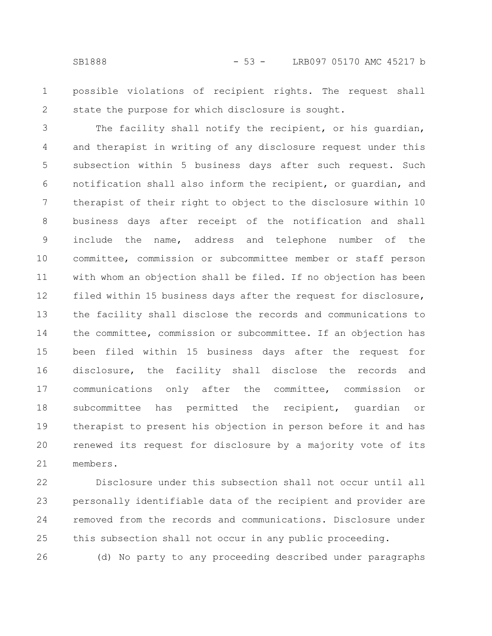possible violations of recipient rights. The request shall state the purpose for which disclosure is sought. 1 2

The facility shall notify the recipient, or his guardian, and therapist in writing of any disclosure request under this subsection within 5 business days after such request. Such notification shall also inform the recipient, or guardian, and therapist of their right to object to the disclosure within 10 business days after receipt of the notification and shall include the name, address and telephone number of the committee, commission or subcommittee member or staff person with whom an objection shall be filed. If no objection has been filed within 15 business days after the request for disclosure, the facility shall disclose the records and communications to the committee, commission or subcommittee. If an objection has been filed within 15 business days after the request for disclosure, the facility shall disclose the records and communications only after the committee, commission or subcommittee has permitted the recipient, guardian or therapist to present his objection in person before it and has renewed its request for disclosure by a majority vote of its members. 3 4 5 6 7 8 9 10 11 12 13 14 15 16 17 18 19 20 21

Disclosure under this subsection shall not occur until all personally identifiable data of the recipient and provider are removed from the records and communications. Disclosure under this subsection shall not occur in any public proceeding. 22 23 24 25

26

(d) No party to any proceeding described under paragraphs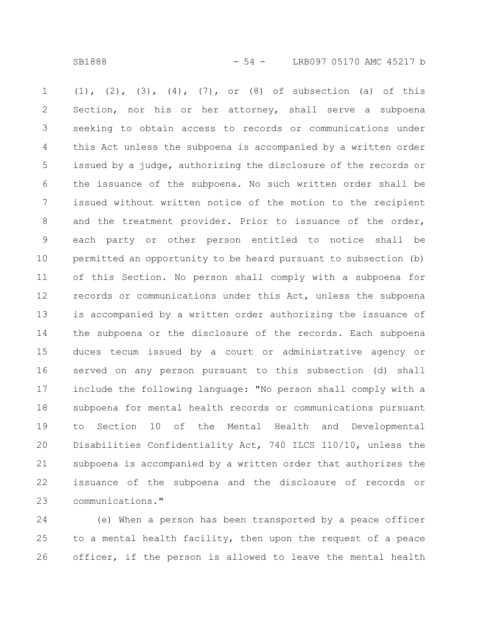SB1888 - 54 - LRB097 05170 AMC 45217 b

(1), (2), (3), (4), (7), or (8) of subsection (a) of this Section, nor his or her attorney, shall serve a subpoena seeking to obtain access to records or communications under this Act unless the subpoena is accompanied by a written order issued by a judge, authorizing the disclosure of the records or the issuance of the subpoena. No such written order shall be issued without written notice of the motion to the recipient and the treatment provider. Prior to issuance of the order, each party or other person entitled to notice shall be permitted an opportunity to be heard pursuant to subsection (b) of this Section. No person shall comply with a subpoena for records or communications under this Act, unless the subpoena is accompanied by a written order authorizing the issuance of the subpoena or the disclosure of the records. Each subpoena duces tecum issued by a court or administrative agency or served on any person pursuant to this subsection (d) shall include the following language: "No person shall comply with a subpoena for mental health records or communications pursuant to Section 10 of the Mental Health and Developmental Disabilities Confidentiality Act, 740 ILCS 110/10, unless the subpoena is accompanied by a written order that authorizes the issuance of the subpoena and the disclosure of records or communications." 1 2 3 4 5 6 7 8 9 10 11 12 13 14 15 16 17 18 19 20 21 22 23

(e) When a person has been transported by a peace officer to a mental health facility, then upon the request of a peace officer, if the person is allowed to leave the mental health 24 25 26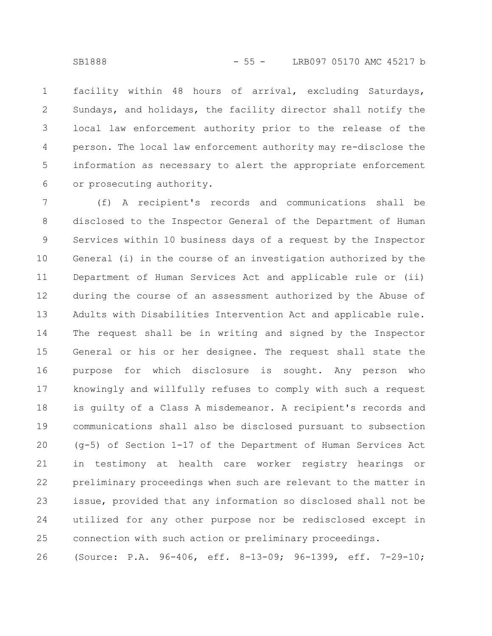facility within 48 hours of arrival, excluding Saturdays, Sundays, and holidays, the facility director shall notify the local law enforcement authority prior to the release of the person. The local law enforcement authority may re-disclose the information as necessary to alert the appropriate enforcement or prosecuting authority. 1 2 3 4 5 6

(f) A recipient's records and communications shall be disclosed to the Inspector General of the Department of Human Services within 10 business days of a request by the Inspector General (i) in the course of an investigation authorized by the Department of Human Services Act and applicable rule or (ii) during the course of an assessment authorized by the Abuse of Adults with Disabilities Intervention Act and applicable rule. The request shall be in writing and signed by the Inspector General or his or her designee. The request shall state the purpose for which disclosure is sought. Any person who knowingly and willfully refuses to comply with such a request is guilty of a Class A misdemeanor. A recipient's records and communications shall also be disclosed pursuant to subsection (g-5) of Section 1-17 of the Department of Human Services Act in testimony at health care worker registry hearings or preliminary proceedings when such are relevant to the matter in issue, provided that any information so disclosed shall not be utilized for any other purpose nor be redisclosed except in connection with such action or preliminary proceedings. 7 8 9 10 11 12 13 14 15 16 17 18 19 20 21 22 23 24 25

(Source: P.A. 96-406, eff. 8-13-09; 96-1399, eff. 7-29-10; 26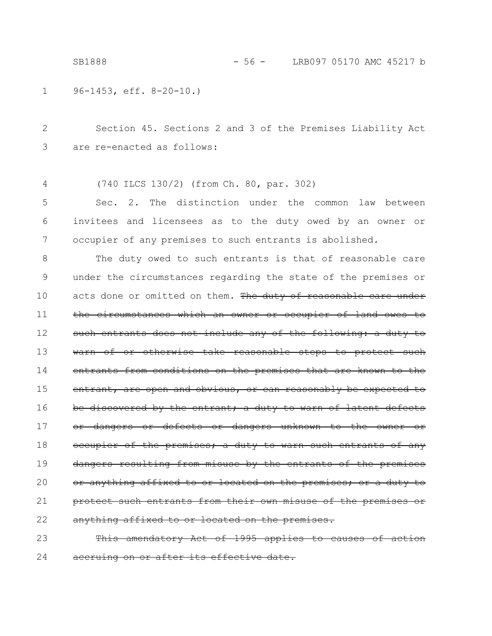96-1453, eff. 8-20-10.) 1

Section 45. Sections 2 and 3 of the Premises Liability Act are re-enacted as follows: 2 3

(740 ILCS 130/2) (from Ch. 80, par. 302) 4

Sec. 2. The distinction under the common law between invitees and licensees as to the duty owed by an owner or occupier of any premises to such entrants is abolished. 5 6 7

The duty owed to such entrants is that of reasonable care under the circumstances regarding the state of the premises or acts done or omitted on them. The duty of reasonable care under the circumstances which an owner or occupier of land owes such entrants does not include any of the following: a duty to warn of or otherwise take reasonable steps to protect such entrants from conditions on the premises that are known to the entrant, are open and obvious, or can reasonably be expected to discovered by the entrant; a duty to warn of latent defects or dangers or defects or dangers unknown to the owner or occupier of the premises; a duty to warn such entrants of any dangers resulting from misuse by the entrants of the premises anything affixed to or located on the premises; or a duty to such entrants from their own misuse of the premises anything affixed to or located on the premises. 8 9 10 11 12 13 14 15 16 17 18 19 20 21 22

This amendatory Act of 1995 applies to causes of action accruing on or after its effective date. 23 24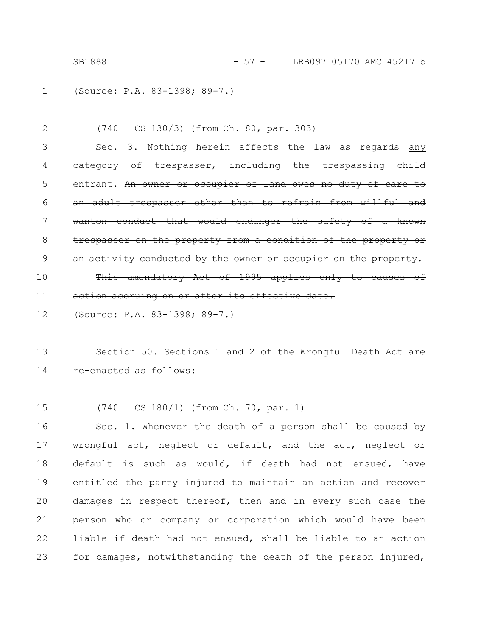SB1888 - 57 - LRB097 05170 AMC 45217 b

(Source: P.A. 83-1398; 89-7.) 1

(740 ILCS 130/3) (from Ch. 80, par. 303) Sec. 3. Nothing herein affects the law as regards any category of trespasser, including the trespassing child entrant. An owner or occupier of land owes no duty of care an adult trespasser other than to refrain from willful wanton conduct that would endanger the safety of a known trespasser on the property from a condition of the property an activity conducted by the owner or occupier on the property. This amendatory Act of 1995 applies only to causes of  $\pm$ ion accruing on or after its effective date. 2 3 4 5 6 7 8 9 10 11

(Source: P.A. 83-1398; 89-7.) 12

Section 50. Sections 1 and 2 of the Wrongful Death Act are re-enacted as follows: 13 14

(740 ILCS 180/1) (from Ch. 70, par. 1) 15

Sec. 1. Whenever the death of a person shall be caused by wrongful act, neglect or default, and the act, neglect or default is such as would, if death had not ensued, have entitled the party injured to maintain an action and recover damages in respect thereof, then and in every such case the person who or company or corporation which would have been liable if death had not ensued, shall be liable to an action for damages, notwithstanding the death of the person injured, 16 17 18 19 20 21 22 23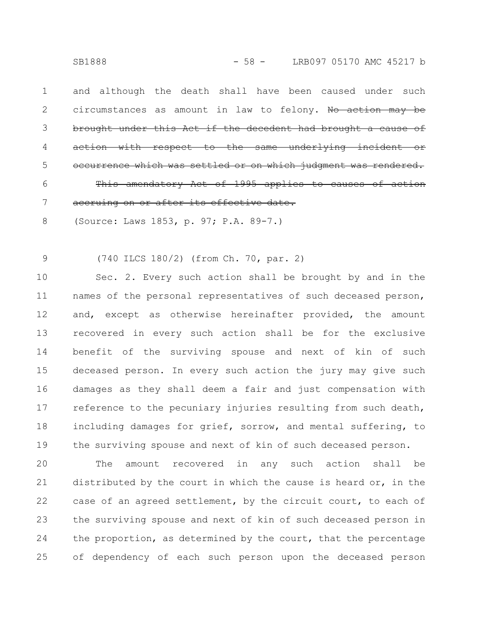and although the death shall have been caused under such circumstances as amount in law to felony. No action may be brought under this Act if the decedent had brought a cause of action with respect to the same underlying incident or which was settled or on whi This amendatory Act of 1995 applies accruing on or after its effective date. 1 2 3 4 5 6 7

(Source: Laws 1853, p. 97; P.A. 89-7.) 8

(740 ILCS 180/2) (from Ch. 70, par. 2) 9

Sec. 2. Every such action shall be brought by and in the names of the personal representatives of such deceased person, and, except as otherwise hereinafter provided, the amount recovered in every such action shall be for the exclusive benefit of the surviving spouse and next of kin of such deceased person. In every such action the jury may give such damages as they shall deem a fair and just compensation with reference to the pecuniary injuries resulting from such death, including damages for grief, sorrow, and mental suffering, to the surviving spouse and next of kin of such deceased person. 10 11 12 13 14 15 16 17 18 19

The amount recovered in any such action shall be distributed by the court in which the cause is heard or, in the case of an agreed settlement, by the circuit court, to each of the surviving spouse and next of kin of such deceased person in the proportion, as determined by the court, that the percentage of dependency of each such person upon the deceased person 20 21 22 23 24 25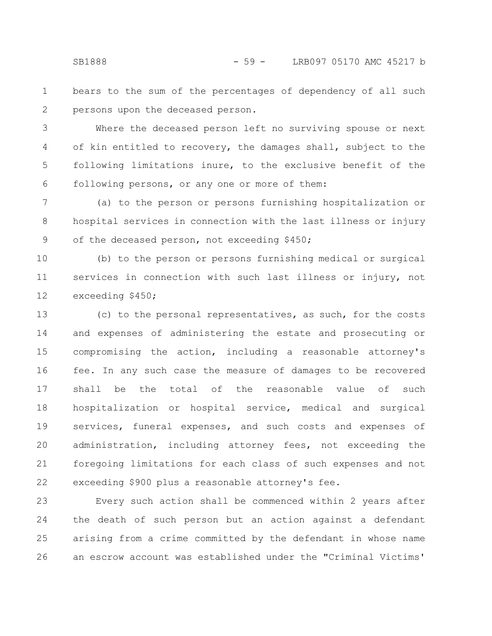bears to the sum of the percentages of dependency of all such persons upon the deceased person. 1 2

Where the deceased person left no surviving spouse or next of kin entitled to recovery, the damages shall, subject to the following limitations inure, to the exclusive benefit of the following persons, or any one or more of them: 3 4 5 6

(a) to the person or persons furnishing hospitalization or hospital services in connection with the last illness or injury of the deceased person, not exceeding \$450; 7 8 9

(b) to the person or persons furnishing medical or surgical services in connection with such last illness or injury, not exceeding \$450; 10 11 12

(c) to the personal representatives, as such, for the costs and expenses of administering the estate and prosecuting or compromising the action, including a reasonable attorney's fee. In any such case the measure of damages to be recovered shall be the total of the reasonable value of such hospitalization or hospital service, medical and surgical services, funeral expenses, and such costs and expenses of administration, including attorney fees, not exceeding the foregoing limitations for each class of such expenses and not exceeding \$900 plus a reasonable attorney's fee. 13 14 15 16 17 18 19 20 21 22

Every such action shall be commenced within 2 years after the death of such person but an action against a defendant arising from a crime committed by the defendant in whose name an escrow account was established under the "Criminal Victims' 23 24 25 26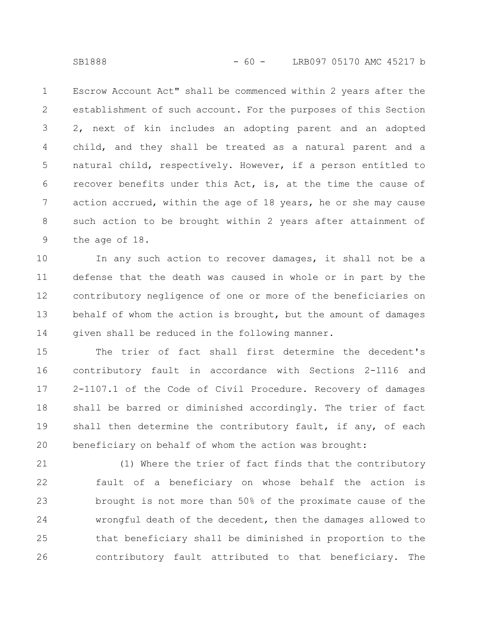Escrow Account Act" shall be commenced within 2 years after the establishment of such account. For the purposes of this Section 2, next of kin includes an adopting parent and an adopted child, and they shall be treated as a natural parent and a natural child, respectively. However, if a person entitled to recover benefits under this Act, is, at the time the cause of action accrued, within the age of 18 years, he or she may cause such action to be brought within 2 years after attainment of the age of 18. 1 2 3 4 5 6 7 8 9

In any such action to recover damages, it shall not be a defense that the death was caused in whole or in part by the contributory negligence of one or more of the beneficiaries on behalf of whom the action is brought, but the amount of damages given shall be reduced in the following manner. 10 11 12 13 14

The trier of fact shall first determine the decedent's contributory fault in accordance with Sections 2-1116 and 2-1107.1 of the Code of Civil Procedure. Recovery of damages shall be barred or diminished accordingly. The trier of fact shall then determine the contributory fault, if any, of each beneficiary on behalf of whom the action was brought: 15 16 17 18 19 20

(1) Where the trier of fact finds that the contributory fault of a beneficiary on whose behalf the action is brought is not more than 50% of the proximate cause of the wrongful death of the decedent, then the damages allowed to that beneficiary shall be diminished in proportion to the contributory fault attributed to that beneficiary. The 21 22 23 24 25 26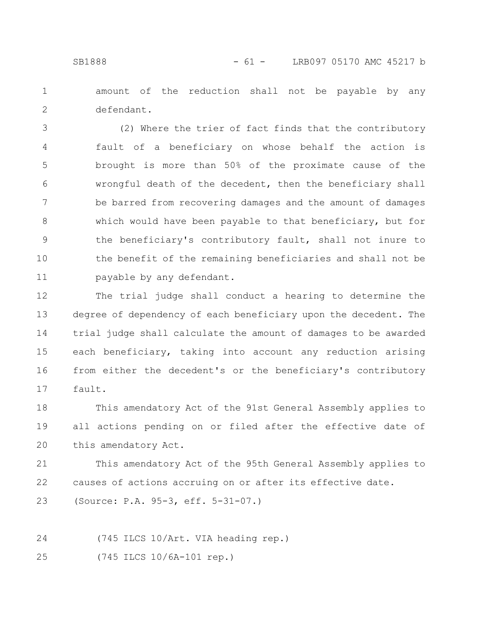amount of the reduction shall not be payable by any defendant. 1 2

(2) Where the trier of fact finds that the contributory fault of a beneficiary on whose behalf the action is brought is more than 50% of the proximate cause of the wrongful death of the decedent, then the beneficiary shall be barred from recovering damages and the amount of damages which would have been payable to that beneficiary, but for the beneficiary's contributory fault, shall not inure to the benefit of the remaining beneficiaries and shall not be payable by any defendant. 3 4 5 6 7 8 9 10 11

The trial judge shall conduct a hearing to determine the degree of dependency of each beneficiary upon the decedent. The trial judge shall calculate the amount of damages to be awarded each beneficiary, taking into account any reduction arising from either the decedent's or the beneficiary's contributory fault. 12 13 14 15 16 17

This amendatory Act of the 91st General Assembly applies to all actions pending on or filed after the effective date of this amendatory Act. 18 19 20

This amendatory Act of the 95th General Assembly applies to causes of actions accruing on or after its effective date. 21 22

(Source: P.A. 95-3, eff. 5-31-07.) 23

(745 ILCS 10/Art. VIA heading rep.) 24

(745 ILCS 10/6A-101 rep.) 25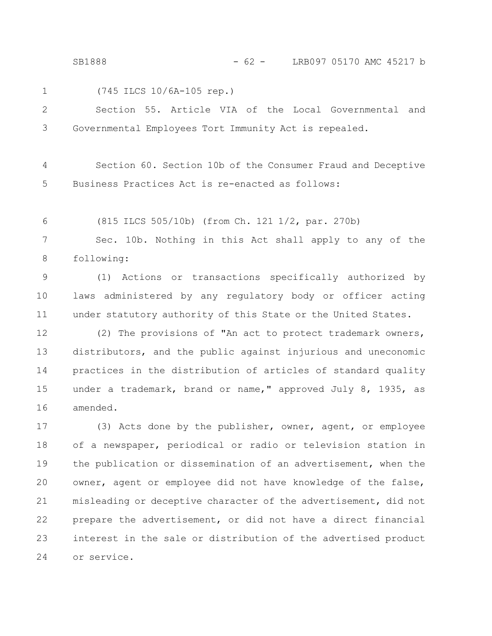SB1888 - 62 - LRB097 05170 AMC 45217 b

1

(745 ILCS 10/6A-105 rep.)

Section 55. Article VIA of the Local Governmental and Governmental Employees Tort Immunity Act is repealed. 2 3

Section 60. Section 10b of the Consumer Fraud and Deceptive Business Practices Act is re-enacted as follows: 4 5

(815 ILCS 505/10b) (from Ch. 121 1/2, par. 270b) 6

Sec. 10b. Nothing in this Act shall apply to any of the following: 7 8

(1) Actions or transactions specifically authorized by laws administered by any regulatory body or officer acting under statutory authority of this State or the United States. 9 10 11

(2) The provisions of "An act to protect trademark owners, distributors, and the public against injurious and uneconomic practices in the distribution of articles of standard quality under a trademark, brand or name," approved July 8, 1935, as amended. 12 13 14 15 16

(3) Acts done by the publisher, owner, agent, or employee of a newspaper, periodical or radio or television station in the publication or dissemination of an advertisement, when the owner, agent or employee did not have knowledge of the false, misleading or deceptive character of the advertisement, did not prepare the advertisement, or did not have a direct financial interest in the sale or distribution of the advertised product or service. 17 18 19 20 21 22 23 24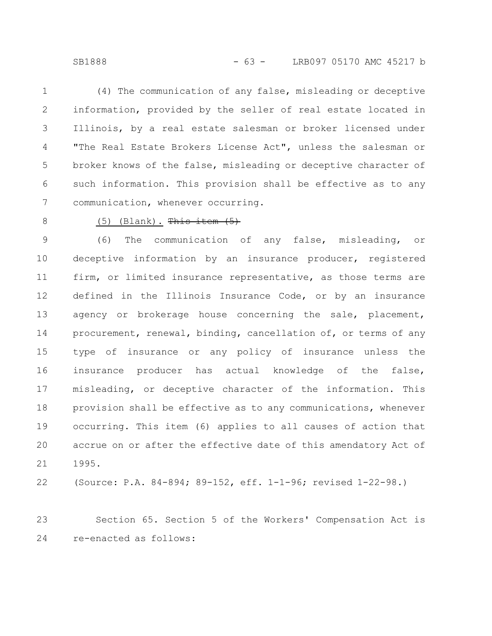(4) The communication of any false, misleading or deceptive information, provided by the seller of real estate located in Illinois, by a real estate salesman or broker licensed under "The Real Estate Brokers License Act", unless the salesman or broker knows of the false, misleading or deceptive character of such information. This provision shall be effective as to any communication, whenever occurring. 1 2 3 4 5 6 7

8

## $(5)$  (Blank). This item  $(5)$

(6) The communication of any false, misleading, or deceptive information by an insurance producer, registered firm, or limited insurance representative, as those terms are defined in the Illinois Insurance Code, or by an insurance agency or brokerage house concerning the sale, placement, procurement, renewal, binding, cancellation of, or terms of any type of insurance or any policy of insurance unless the insurance producer has actual knowledge of the false, misleading, or deceptive character of the information. This provision shall be effective as to any communications, whenever occurring. This item (6) applies to all causes of action that accrue on or after the effective date of this amendatory Act of 1995. 9 10 11 12 13 14 15 16 17 18 19 20 21

(Source: P.A. 84-894; 89-152, eff. 1-1-96; revised 1-22-98.) 22

Section 65. Section 5 of the Workers' Compensation Act is re-enacted as follows: 23 24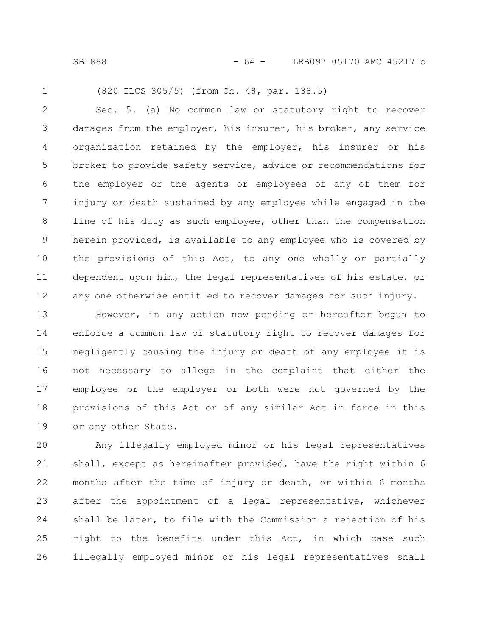SB1888 - 64 - LRB097 05170 AMC 45217 b

1

(820 ILCS 305/5) (from Ch. 48, par. 138.5)

Sec. 5. (a) No common law or statutory right to recover damages from the employer, his insurer, his broker, any service organization retained by the employer, his insurer or his broker to provide safety service, advice or recommendations for the employer or the agents or employees of any of them for injury or death sustained by any employee while engaged in the line of his duty as such employee, other than the compensation herein provided, is available to any employee who is covered by the provisions of this Act, to any one wholly or partially dependent upon him, the legal representatives of his estate, or any one otherwise entitled to recover damages for such injury. 2 3 4 5 6 7 8 9 10 11 12

However, in any action now pending or hereafter begun to enforce a common law or statutory right to recover damages for negligently causing the injury or death of any employee it is not necessary to allege in the complaint that either the employee or the employer or both were not governed by the provisions of this Act or of any similar Act in force in this or any other State. 13 14 15 16 17 18 19

Any illegally employed minor or his legal representatives shall, except as hereinafter provided, have the right within 6 months after the time of injury or death, or within 6 months after the appointment of a legal representative, whichever shall be later, to file with the Commission a rejection of his right to the benefits under this Act, in which case such illegally employed minor or his legal representatives shall 20 21 22 23 24 25 26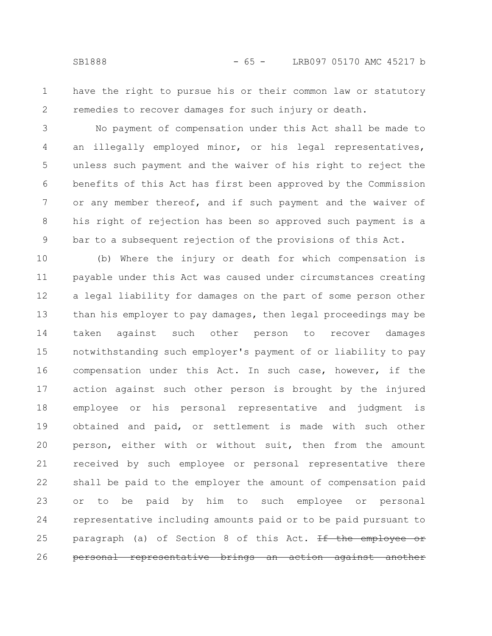have the right to pursue his or their common law or statutory remedies to recover damages for such injury or death. 1 2

No payment of compensation under this Act shall be made to an illegally employed minor, or his legal representatives, unless such payment and the waiver of his right to reject the benefits of this Act has first been approved by the Commission or any member thereof, and if such payment and the waiver of his right of rejection has been so approved such payment is a bar to a subsequent rejection of the provisions of this Act. 3 4 5 6 7 8 9

(b) Where the injury or death for which compensation is payable under this Act was caused under circumstances creating a legal liability for damages on the part of some person other than his employer to pay damages, then legal proceedings may be taken against such other person to recover damages notwithstanding such employer's payment of or liability to pay compensation under this Act. In such case, however, if the action against such other person is brought by the injured employee or his personal representative and judgment is obtained and paid, or settlement is made with such other person, either with or without suit, then from the amount received by such employee or personal representative there shall be paid to the employer the amount of compensation paid or to be paid by him to such employee or personal representative including amounts paid or to be paid pursuant to paragraph (a) of Section 8 of this Act. If the employee personal representative brings an action against 10 11 12 13 14 15 16 17 18 19 20 21 22 23 24 25 26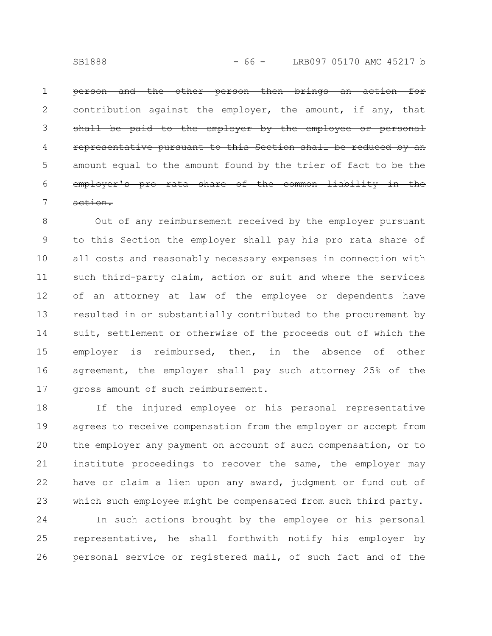the other person then brings against the employer, the amount, paid to the employer by the employee pursuant amount found by the trier employer's pro rata share of the common action. 1 2 3 4 5 6 7

Out of any reimbursement received by the employer pursuant to this Section the employer shall pay his pro rata share of all costs and reasonably necessary expenses in connection with such third-party claim, action or suit and where the services of an attorney at law of the employee or dependents have resulted in or substantially contributed to the procurement by suit, settlement or otherwise of the proceeds out of which the employer is reimbursed, then, in the absence of other agreement, the employer shall pay such attorney 25% of the gross amount of such reimbursement. 8 9 10 11 12 13 14 15 16 17

If the injured employee or his personal representative agrees to receive compensation from the employer or accept from the employer any payment on account of such compensation, or to institute proceedings to recover the same, the employer may have or claim a lien upon any award, judgment or fund out of which such employee might be compensated from such third party. 18 19 20 21 22 23

In such actions brought by the employee or his personal representative, he shall forthwith notify his employer by personal service or registered mail, of such fact and of the 24 25 26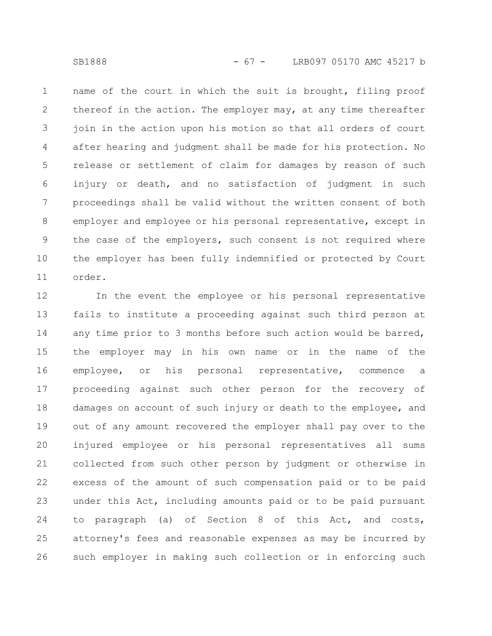name of the court in which the suit is brought, filing proof thereof in the action. The employer may, at any time thereafter join in the action upon his motion so that all orders of court after hearing and judgment shall be made for his protection. No release or settlement of claim for damages by reason of such injury or death, and no satisfaction of judgment in such proceedings shall be valid without the written consent of both employer and employee or his personal representative, except in the case of the employers, such consent is not required where the employer has been fully indemnified or protected by Court order. 1 2 3 4 5 6 7 8 9 10 11

In the event the employee or his personal representative fails to institute a proceeding against such third person at any time prior to 3 months before such action would be barred, the employer may in his own name or in the name of the employee, or his personal representative, commence a proceeding against such other person for the recovery of damages on account of such injury or death to the employee, and out of any amount recovered the employer shall pay over to the injured employee or his personal representatives all sums collected from such other person by judgment or otherwise in excess of the amount of such compensation paid or to be paid under this Act, including amounts paid or to be paid pursuant to paragraph (a) of Section 8 of this Act, and costs, attorney's fees and reasonable expenses as may be incurred by such employer in making such collection or in enforcing such 12 13 14 15 16 17 18 19 20 21 22 23 24 25 26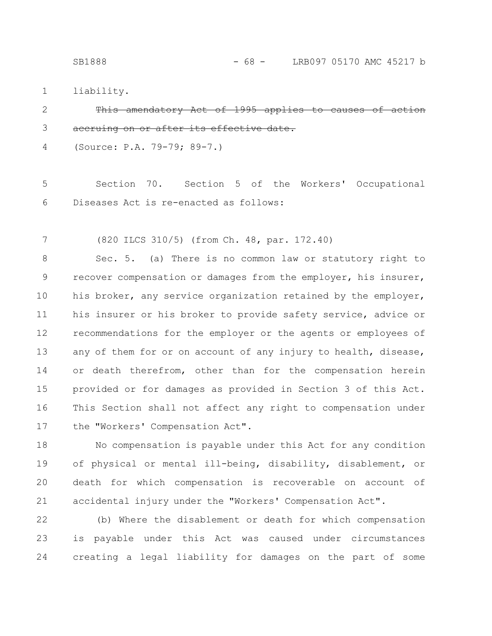liability. 1

## -amendatory Act accruing on or after its effective 2 3

(Source: P.A. 79-79; 89-7.) 4

Section 70. Section 5 of the Workers' Occupational Diseases Act is re-enacted as follows: 5 6

(820 ILCS 310/5) (from Ch. 48, par. 172.40) 7

Sec. 5. (a) There is no common law or statutory right to recover compensation or damages from the employer, his insurer, his broker, any service organization retained by the employer, his insurer or his broker to provide safety service, advice or recommendations for the employer or the agents or employees of any of them for or on account of any injury to health, disease, or death therefrom, other than for the compensation herein provided or for damages as provided in Section 3 of this Act. This Section shall not affect any right to compensation under the "Workers' Compensation Act". 8 9 10 11 12 13 14 15 16 17

No compensation is payable under this Act for any condition of physical or mental ill-being, disability, disablement, or death for which compensation is recoverable on account of accidental injury under the "Workers' Compensation Act". 18 19 20 21

(b) Where the disablement or death for which compensation is payable under this Act was caused under circumstances creating a legal liability for damages on the part of some 22 23 24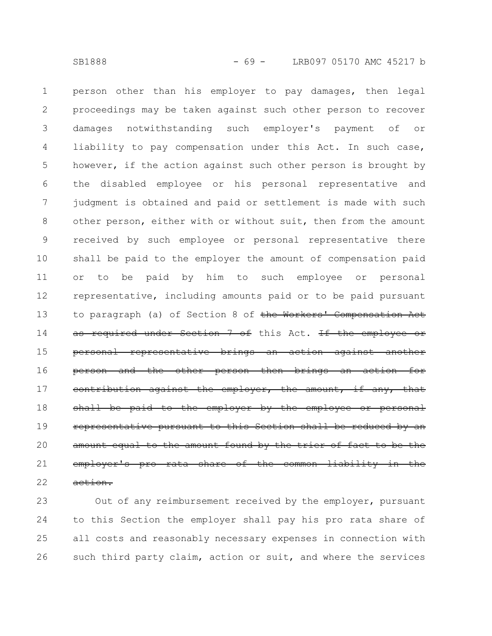person other than his employer to pay damages, then legal proceedings may be taken against such other person to recover damages notwithstanding such employer's payment of or liability to pay compensation under this Act. In such case, however, if the action against such other person is brought by the disabled employee or his personal representative and judgment is obtained and paid or settlement is made with such other person, either with or without suit, then from the amount received by such employee or personal representative there shall be paid to the employer the amount of compensation paid or to be paid by him to such employee or personal representative, including amounts paid or to be paid pursuant to paragraph (a) of Section 8 of the Workers' Compensat as required under Section 7 of this Act. If the employ personal representative brings an action person and the other person then brings an action for contribution against the employer, the amount, if any, that shall be paid to the employer by the employee representative pursuant to this Section shall be amount equal to the amount found by the employer's pro rata share of the common 1 2 3 4 5 6 7 8 9 10 11 12 13 14 15 16 17 18 19 20 21

action. 22

Out of any reimbursement received by the employer, pursuant to this Section the employer shall pay his pro rata share of all costs and reasonably necessary expenses in connection with such third party claim, action or suit, and where the services 23 24 25 26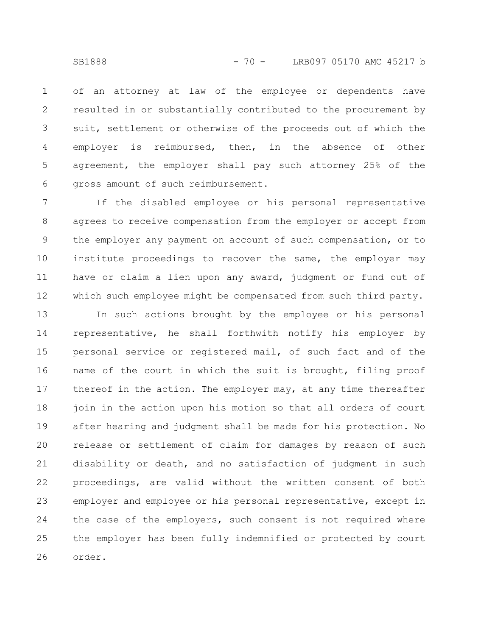of an attorney at law of the employee or dependents have resulted in or substantially contributed to the procurement by suit, settlement or otherwise of the proceeds out of which the employer is reimbursed, then, in the absence of other agreement, the employer shall pay such attorney 25% of the gross amount of such reimbursement. 1 2 3 4 5 6

If the disabled employee or his personal representative agrees to receive compensation from the employer or accept from the employer any payment on account of such compensation, or to institute proceedings to recover the same, the employer may have or claim a lien upon any award, judgment or fund out of which such employee might be compensated from such third party. 7 8 9 10 11 12

In such actions brought by the employee or his personal representative, he shall forthwith notify his employer by personal service or registered mail, of such fact and of the name of the court in which the suit is brought, filing proof thereof in the action. The employer may, at any time thereafter join in the action upon his motion so that all orders of court after hearing and judgment shall be made for his protection. No release or settlement of claim for damages by reason of such disability or death, and no satisfaction of judgment in such proceedings, are valid without the written consent of both employer and employee or his personal representative, except in the case of the employers, such consent is not required where the employer has been fully indemnified or protected by court order. 13 14 15 16 17 18 19 20 21 22 23 24 25 26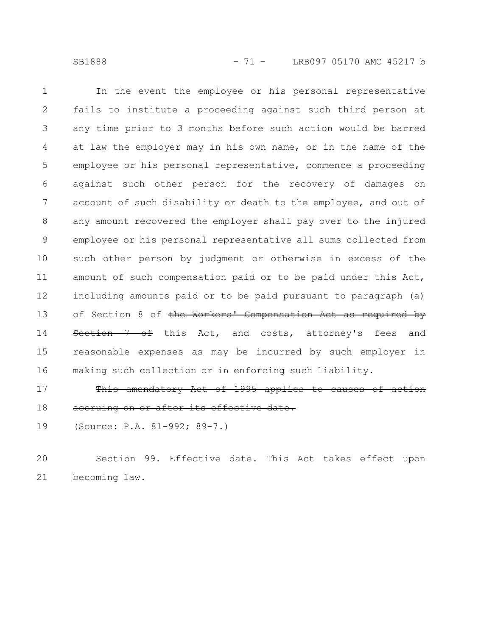SB1888 - 71 - LRB097 05170 AMC 45217 b

In the event the employee or his personal representative fails to institute a proceeding against such third person at any time prior to 3 months before such action would be barred at law the employer may in his own name, or in the name of the employee or his personal representative, commence a proceeding against such other person for the recovery of damages on account of such disability or death to the employee, and out of any amount recovered the employer shall pay over to the injured employee or his personal representative all sums collected from such other person by judgment or otherwise in excess of the amount of such compensation paid or to be paid under this Act, including amounts paid or to be paid pursuant to paragraph (a) of Section 8 of the Workers' Compensation Act as required by Section 7 of this Act, and costs, attorney's fees and reasonable expenses as may be incurred by such employer in making such collection or in enforcing such liability. 1 2 3 4 5 6 7 8 9 10 11 12 13 14 15 16

This amendatory Act of 1995 applies to causes of accruing on or after its effective date. 17 18

(Source: P.A. 81-992; 89-7.) 19

Section 99. Effective date. This Act takes effect upon becoming law. 20 21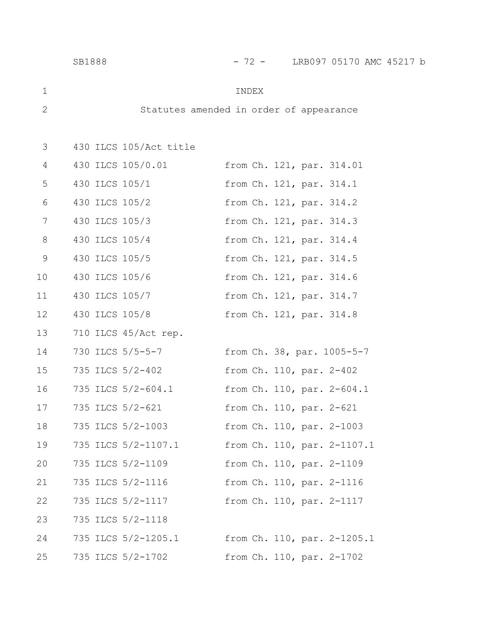|    | SB1888           |                        | $-72 -$                                 |                             | LRB097 05170 AMC 45217 b |  |
|----|------------------|------------------------|-----------------------------------------|-----------------------------|--------------------------|--|
| 1  |                  |                        | INDEX                                   |                             |                          |  |
| 2  |                  |                        | Statutes amended in order of appearance |                             |                          |  |
|    |                  |                        |                                         |                             |                          |  |
| 3  |                  | 430 ILCS 105/Act title |                                         |                             |                          |  |
| 4  |                  | 430 ILCS 105/0.01      |                                         | from Ch. 121, par. 314.01   |                          |  |
| 5  | 430 ILCS 105/1   |                        |                                         | from Ch. 121, par. 314.1    |                          |  |
| 6  | 430 ILCS 105/2   |                        |                                         | from Ch. 121, par. 314.2    |                          |  |
| 7  | 430 ILCS 105/3   |                        |                                         | from Ch. 121, par. 314.3    |                          |  |
| 8  | 430 ILCS 105/4   |                        |                                         | from Ch. 121, par. 314.4    |                          |  |
| 9  | 430 ILCS 105/5   |                        |                                         | from Ch. 121, par. 314.5    |                          |  |
| 10 | 430 ILCS 105/6   |                        |                                         | from Ch. 121, par. 314.6    |                          |  |
| 11 | 430 ILCS 105/7   |                        |                                         | from Ch. 121, par. 314.7    |                          |  |
| 12 | 430 ILCS 105/8   |                        |                                         | from Ch. 121, par. 314.8    |                          |  |
| 13 |                  | 710 ILCS 45/Act rep.   |                                         |                             |                          |  |
| 14 | 730 ILCS 5/5-5-7 |                        |                                         | from Ch. 38, par. 1005-5-7  |                          |  |
| 15 | 735 ILCS 5/2-402 |                        |                                         | from Ch. 110, par. 2-402    |                          |  |
| 16 |                  | 735 ILCS 5/2-604.1     |                                         | from Ch. 110, par. 2-604.1  |                          |  |
| 17 | 735 ILCS 5/2-621 |                        |                                         | from Ch. 110, par. 2-621    |                          |  |
| 18 |                  | 735 ILCS 5/2-1003      |                                         | from Ch. 110, par. 2-1003   |                          |  |
| 19 |                  | 735 ILCS 5/2-1107.1    |                                         | from Ch. 110, par. 2-1107.1 |                          |  |
| 20 |                  | 735 ILCS 5/2-1109      |                                         | from Ch. 110, par. 2-1109   |                          |  |
| 21 |                  | 735 ILCS 5/2-1116      |                                         | from Ch. 110, par. 2-1116   |                          |  |
| 22 |                  | 735 ILCS 5/2-1117      |                                         | from Ch. 110, par. 2-1117   |                          |  |
| 23 |                  | 735 ILCS 5/2-1118      |                                         |                             |                          |  |
| 24 |                  | 735 ILCS 5/2-1205.1    |                                         | from Ch. 110, par. 2-1205.1 |                          |  |
| 25 |                  | 735 ILCS 5/2-1702      |                                         | from Ch. 110, par. 2-1702   |                          |  |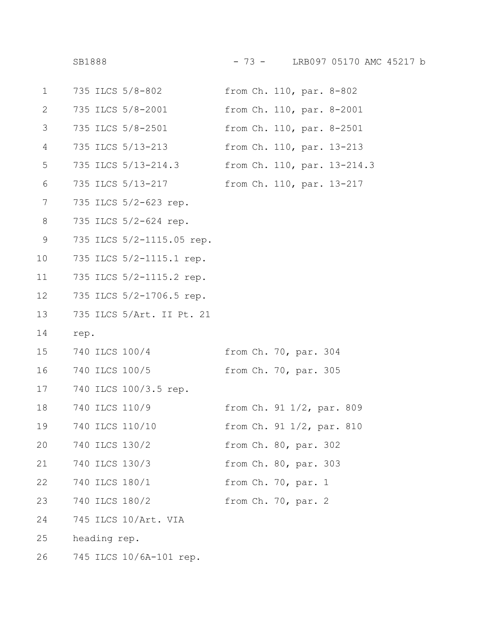| $\mathbf 1$   | 735 ILCS 5/8-802          | from Ch. 110, par. 8-802    |
|---------------|---------------------------|-----------------------------|
| 2             | 735 ILCS 5/8-2001         | from Ch. 110, par. 8-2001   |
| 3             | 735 ILCS 5/8-2501         | from Ch. 110, par. 8-2501   |
| 4             | 735 ILCS 5/13-213         | from Ch. 110, par. 13-213   |
| 5             | 735 ILCS 5/13-214.3       | from Ch. 110, par. 13-214.3 |
| 6             | 735 ILCS 5/13-217         | from Ch. 110, par. 13-217   |
| 7             | 735 ILCS 5/2-623 rep.     |                             |
| 8             | 735 ILCS 5/2-624 rep.     |                             |
| $\mathcal{G}$ | 735 ILCS 5/2-1115.05 rep. |                             |
| 10            | 735 ILCS 5/2-1115.1 rep.  |                             |
| 11            | 735 ILCS 5/2-1115.2 rep.  |                             |
| 12            | 735 ILCS 5/2-1706.5 rep.  |                             |
| 13            | 735 ILCS 5/Art. II Pt. 21 |                             |
| 14            | rep.                      |                             |
| 15            | 740 ILCS 100/4            | from Ch. 70, par. 304       |
| 16            | 740 ILCS 100/5            | from Ch. 70, par. 305       |
| 17            | 740 ILCS 100/3.5 rep.     |                             |
| 18            | 740 ILCS 110/9            | from Ch. 91 1/2, par. 809   |
| 19            | 740 ILCS 110/10           | from Ch. 91 1/2, par. 810   |
| 20            | 740 ILCS 130/2            | from Ch. 80, par. 302       |
| 21            | 740 ILCS 130/3            | from Ch. 80, par. 303       |
| 22            | 740 ILCS 180/1            | from Ch. 70, par. 1         |
| 23            | 740 ILCS 180/2            | from Ch. 70, par. 2         |
| 24            | 745 ILCS 10/Art. VIA      |                             |
| 25            | heading rep.              |                             |
|               |                           |                             |

745 ILCS 10/6A-101 rep. 26